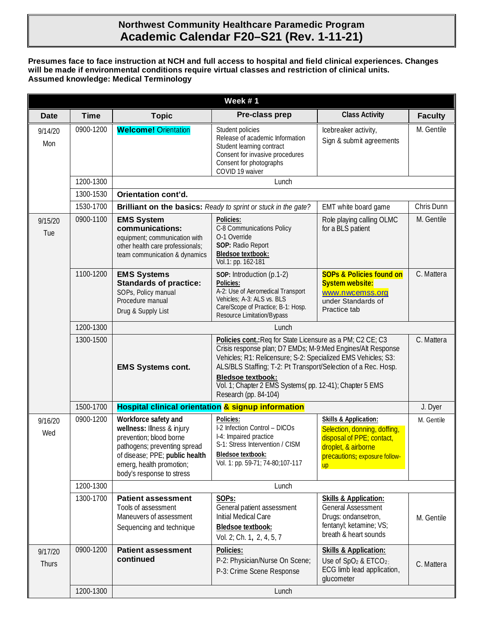# **Northwest Community Healthcare Paramedic Program Academic Calendar F20–S21 (Rev. 1-11-21)**

#### **Presumes face to face instruction at NCH and full access to hospital and field clinical experiences. Changes will be made if environmental conditions require virtual classes and restriction of clinical units. Assumed knowledge: Medical Terminology**

| Week #1                 |             |                                                                                                                                                                                                          |                                                                                                                                                                                                                                                                                                                                                                             |                                                                                                                                                                    |                |  |  |
|-------------------------|-------------|----------------------------------------------------------------------------------------------------------------------------------------------------------------------------------------------------------|-----------------------------------------------------------------------------------------------------------------------------------------------------------------------------------------------------------------------------------------------------------------------------------------------------------------------------------------------------------------------------|--------------------------------------------------------------------------------------------------------------------------------------------------------------------|----------------|--|--|
| <b>Date</b>             | <b>Time</b> | <b>Topic</b>                                                                                                                                                                                             | Pre-class prep                                                                                                                                                                                                                                                                                                                                                              | <b>Class Activity</b>                                                                                                                                              | <b>Faculty</b> |  |  |
| 9/14/20<br>Mon          | 0900-1200   | <b>Welcome! Orientation</b>                                                                                                                                                                              | Student policies<br>Release of academic Information<br>Student learning contract<br>Consent for invasive procedures<br>Consent for photographs<br>COVID 19 waiver                                                                                                                                                                                                           | Icebreaker activity,<br>Sign & submit agreements                                                                                                                   | M. Gentile     |  |  |
|                         | 1200-1300   | Lunch                                                                                                                                                                                                    |                                                                                                                                                                                                                                                                                                                                                                             |                                                                                                                                                                    |                |  |  |
|                         | 1300-1530   | Orientation cont'd.                                                                                                                                                                                      |                                                                                                                                                                                                                                                                                                                                                                             |                                                                                                                                                                    |                |  |  |
|                         | 1530-1700   |                                                                                                                                                                                                          | <b>Brilliant on the basics:</b> Ready to sprint or stuck in the gate?                                                                                                                                                                                                                                                                                                       | EMT white board game                                                                                                                                               | Chris Dunn     |  |  |
| 9/15/20<br>Tue          | 0900-1100   | <b>EMS System</b><br>communications:<br>equipment; communication with<br>other health care professionals;<br>team communication & dynamics                                                               | Policies:<br>C-8 Communications Policy<br>O-1 Override<br>SOP: Radio Report<br>Bledsoe textbook:<br>Vol.1: pp. 162-181                                                                                                                                                                                                                                                      | Role playing calling OLMC<br>for a BLS patient                                                                                                                     | M. Gentile     |  |  |
|                         | 1100-1200   | <b>EMS Systems</b><br><b>Standards of practice:</b><br>SOPs, Policy manual<br>Procedure manual<br>Drug & Supply List                                                                                     | SOP: Introduction (p.1-2)<br>Policies:<br>A-2: Use of Aeromedical Transport<br>Vehicles; A-3: ALS vs. BLS<br>Care/Scope of Practice; B-1: Hosp.<br>Resource Limitation/Bypass                                                                                                                                                                                               | <b>SOPs &amp; Policies found on</b><br><b>System website:</b><br>www.nwcemss.org<br>under Standards of<br>Practice tab                                             | C. Mattera     |  |  |
|                         | 1200-1300   |                                                                                                                                                                                                          |                                                                                                                                                                                                                                                                                                                                                                             |                                                                                                                                                                    |                |  |  |
|                         | 1300-1500   | <b>EMS Systems cont.</b>                                                                                                                                                                                 | Policies cont.: Req for State Licensure as a PM; C2 CE; C3<br>Crisis response plan; D7 EMDs; M-9:Med Engines/Alt Response<br>Vehicles; R1: Relicensure; S-2: Specialized EMS Vehicles; S3:<br>ALS/BLS Staffing; T-2: Pt Transport/Selection of a Rec. Hosp.<br><b>Bledsoe textbook:</b><br>Vol. 1; Chapter 2 EMS Systems(pp. 12-41); Chapter 5 EMS<br>Research (pp. 84-104) | C. Mattera                                                                                                                                                         |                |  |  |
|                         | 1500-1700   | Hospital clinical orientation & signup information                                                                                                                                                       |                                                                                                                                                                                                                                                                                                                                                                             |                                                                                                                                                                    |                |  |  |
| 9/16/20<br>Wed          | 0900-1200   | Workforce safety and<br>wellness: Illness & injury<br>prevention; blood borne<br>pathogens; preventing spread<br>of disease; PPE; public health<br>emerg, health promotion;<br>body's response to stress | Policies:<br>I-2 Infection Control - DICOs<br>I-4: Impaired practice<br>S-1: Stress Intervention / CISM<br><b>Bledsoe textbook:</b><br>Vol. 1: pp. 59-71; 74-80;107-117                                                                                                                                                                                                     | <b>Skills &amp; Application:</b><br>Selection, donning, doffing,<br>disposal of PPE; contact,<br>droplet, & airborne<br>precautions; exposure follow-<br><b>up</b> | M. Gentile     |  |  |
|                         | 1200-1300   |                                                                                                                                                                                                          | Lunch                                                                                                                                                                                                                                                                                                                                                                       |                                                                                                                                                                    |                |  |  |
|                         | 1300-1700   | <b>Patient assessment</b><br>Tools of assessment<br>Maneuvers of assessment<br>Sequencing and technique                                                                                                  | SOPs:<br>General patient assessment<br>Initial Medical Care<br>Bledsoe textbook:<br>Vol. 2; Ch. 1, 2, 4, 5, 7                                                                                                                                                                                                                                                               | <b>Skills &amp; Application:</b><br><b>General Assessment</b><br>Drugs: ondansetron,<br>fentanyl; ketamine; VS;<br>breath & heart sounds                           | M. Gentile     |  |  |
| 9/17/20<br><b>Thurs</b> | 0900-1200   | <b>Patient assessment</b><br>continued                                                                                                                                                                   | Policies:<br>P-2: Physician/Nurse On Scene;<br>P-3: Crime Scene Response                                                                                                                                                                                                                                                                                                    | <b>Skills &amp; Application:</b><br>Use of $SpO2$ & ETCO <sub>2;</sub><br>ECG limb lead application,<br>glucometer                                                 | C. Mattera     |  |  |
|                         | 1200-1300   |                                                                                                                                                                                                          | Lunch                                                                                                                                                                                                                                                                                                                                                                       |                                                                                                                                                                    |                |  |  |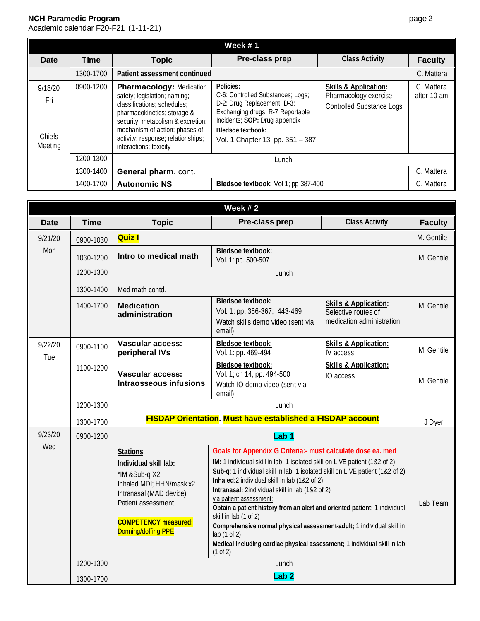|                                            |             |                                                                                                                                                                                                                                                                      | Week #1                                                                                                                                                                                                            |                                                                                               |                           |
|--------------------------------------------|-------------|----------------------------------------------------------------------------------------------------------------------------------------------------------------------------------------------------------------------------------------------------------------------|--------------------------------------------------------------------------------------------------------------------------------------------------------------------------------------------------------------------|-----------------------------------------------------------------------------------------------|---------------------------|
| Date                                       | <b>Time</b> | <b>Topic</b>                                                                                                                                                                                                                                                         | Pre-class prep                                                                                                                                                                                                     | <b>Class Activity</b>                                                                         | <b>Faculty</b>            |
|                                            | 1300-1700   | Patient assessment continued                                                                                                                                                                                                                                         |                                                                                                                                                                                                                    |                                                                                               | C. Mattera                |
| 9/18/20<br>Fri<br><b>Chiefs</b><br>Meeting | 0900-1200   | <b>Pharmacology: Medication</b><br>safety; legislation; naming;<br>classifications; schedules;<br>pharmacokinetics; storage &<br>security; metabolism & excretion;<br>mechanism of action; phases of<br>activity; response; relationships;<br>interactions; toxicity | Policies:<br>C-6: Controlled Substances; Logs;<br>D-2: Drug Replacement; D-3:<br>Exchanging drugs; R-7 Reportable<br>Incidents; SOP: Drug appendix<br><b>Bledsoe textbook:</b><br>Vol. 1 Chapter 13; pp. 351 - 387 | <b>Skills &amp; Application:</b><br>Pharmacology exercise<br><b>Controlled Substance Logs</b> | C. Mattera<br>after 10 am |
|                                            | 1200-1300   |                                                                                                                                                                                                                                                                      | Lunch                                                                                                                                                                                                              |                                                                                               |                           |
|                                            | 1300-1400   | General pharm. cont.                                                                                                                                                                                                                                                 |                                                                                                                                                                                                                    |                                                                                               | C. Mattera                |
|                                            | 1400-1700   | <b>Autonomic NS</b>                                                                                                                                                                                                                                                  | Bledsoe textbook: Vol 1; pp 387-400                                                                                                                                                                                |                                                                                               | C. Mattera                |

|                |             |                                                                                                                                                                                              | Week $#2$                                                                                                                                                                                                                                                                                                                                                                                                                                                                                                                                                                                                                                      |                                                                                      |                |  |  |
|----------------|-------------|----------------------------------------------------------------------------------------------------------------------------------------------------------------------------------------------|------------------------------------------------------------------------------------------------------------------------------------------------------------------------------------------------------------------------------------------------------------------------------------------------------------------------------------------------------------------------------------------------------------------------------------------------------------------------------------------------------------------------------------------------------------------------------------------------------------------------------------------------|--------------------------------------------------------------------------------------|----------------|--|--|
| <b>Date</b>    | <b>Time</b> | <b>Topic</b>                                                                                                                                                                                 | Pre-class prep                                                                                                                                                                                                                                                                                                                                                                                                                                                                                                                                                                                                                                 | <b>Class Activity</b>                                                                | <b>Faculty</b> |  |  |
| 9/21/20        | 0900-1030   | <b>Quiz I</b>                                                                                                                                                                                |                                                                                                                                                                                                                                                                                                                                                                                                                                                                                                                                                                                                                                                |                                                                                      | M. Gentile     |  |  |
| Mon            | 1030-1200   | Intro to medical math                                                                                                                                                                        | Bledsoe textbook:<br>Vol. 1: pp. 500-507                                                                                                                                                                                                                                                                                                                                                                                                                                                                                                                                                                                                       |                                                                                      | M. Gentile     |  |  |
|                | 1200-1300   |                                                                                                                                                                                              | Lunch                                                                                                                                                                                                                                                                                                                                                                                                                                                                                                                                                                                                                                          |                                                                                      |                |  |  |
|                | 1300-1400   | Med math contd.                                                                                                                                                                              |                                                                                                                                                                                                                                                                                                                                                                                                                                                                                                                                                                                                                                                |                                                                                      |                |  |  |
|                | 1400-1700   | <b>Medication</b><br>administration                                                                                                                                                          | <b>Bledsoe textbook:</b><br>Vol. 1: pp. 366-367; 443-469<br>Watch skills demo video (sent via<br>email)                                                                                                                                                                                                                                                                                                                                                                                                                                                                                                                                        | <b>Skills &amp; Application:</b><br>Selective routes of<br>medication administration | M. Gentile     |  |  |
| 9/22/20<br>Tue | 0900-1100   | <b>Vascular access:</b><br>peripheral IVs                                                                                                                                                    | <b>Bledsoe textbook:</b><br>Vol. 1: pp. 469-494                                                                                                                                                                                                                                                                                                                                                                                                                                                                                                                                                                                                | <b>Skills &amp; Application:</b><br>IV access                                        | M. Gentile     |  |  |
|                | 1100-1200   | <b>Vascular access:</b><br><b>Intraosseous infusions</b>                                                                                                                                     | <b>Bledsoe textbook:</b><br>Vol. 1; ch 14, pp. 494-500<br>Watch IO demo video (sent via<br>email)                                                                                                                                                                                                                                                                                                                                                                                                                                                                                                                                              | <b>Skills &amp; Application:</b><br>IO access                                        | M. Gentile     |  |  |
|                | 1200-1300   | Lunch                                                                                                                                                                                        |                                                                                                                                                                                                                                                                                                                                                                                                                                                                                                                                                                                                                                                |                                                                                      |                |  |  |
|                | 1300-1700   | <b>FISDAP Orientation. Must have established a FISDAP account</b>                                                                                                                            |                                                                                                                                                                                                                                                                                                                                                                                                                                                                                                                                                                                                                                                |                                                                                      |                |  |  |
| 9/23/20        | 0900-1200   | Lab <sub>1</sub>                                                                                                                                                                             |                                                                                                                                                                                                                                                                                                                                                                                                                                                                                                                                                                                                                                                |                                                                                      |                |  |  |
| Wed            |             | <b>Stations</b><br>Individual skill lab:<br>*IM &Sub-q X2<br>Inhaled MDI; HHN/mask x2<br>Intranasal (MAD device)<br>Patient assessment<br><b>COMPETENCY measured:</b><br>Donning/doffing PPE | Goals for Appendix G Criteria:- must calculate dose ea. med<br>IM: 1 individual skill in lab; 1 isolated skill on LIVE patient (1&2 of 2)<br>Sub-q: 1 individual skill in lab; 1 isolated skill on LIVE patient (1&2 of 2)<br>Inhaled:2 individual skill in lab (1&2 of 2)<br>Intranasal: 2individual skill in lab (1&2 of 2)<br>via patient assessment:<br>Obtain a patient history from an alert and oriented patient; 1 individual<br>skill in lab (1 of 2)<br>Comprehensive normal physical assessment-adult; 1 individual skill in<br>lab(1 of 2)<br>Medical including cardiac physical assessment; 1 individual skill in lab<br>(1 of 2) | Lab Team                                                                             |                |  |  |
|                | 1200-1300   |                                                                                                                                                                                              | Lunch                                                                                                                                                                                                                                                                                                                                                                                                                                                                                                                                                                                                                                          |                                                                                      |                |  |  |
|                | 1300-1700   | Lab <sub>2</sub>                                                                                                                                                                             |                                                                                                                                                                                                                                                                                                                                                                                                                                                                                                                                                                                                                                                |                                                                                      |                |  |  |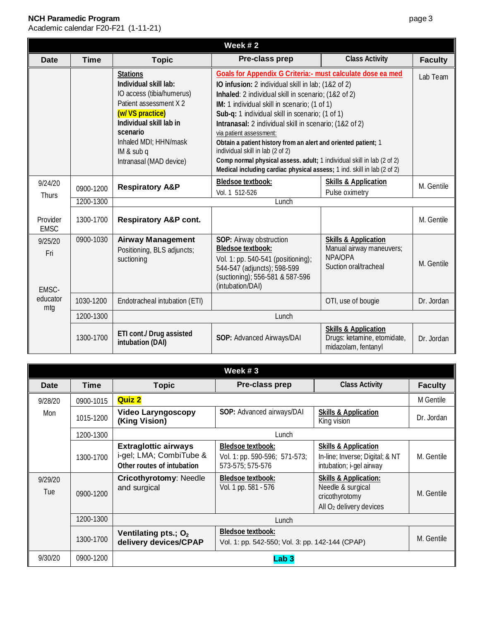Academic calendar F20-F21 (1-11-21)

| Week #2                                    |             |                                                                                                                                                                                                                              |                                                                                                                                                                                                                                                                                                                                                                                                                                                                                                                                                                                                                             |                                                                                                 |                |  |
|--------------------------------------------|-------------|------------------------------------------------------------------------------------------------------------------------------------------------------------------------------------------------------------------------------|-----------------------------------------------------------------------------------------------------------------------------------------------------------------------------------------------------------------------------------------------------------------------------------------------------------------------------------------------------------------------------------------------------------------------------------------------------------------------------------------------------------------------------------------------------------------------------------------------------------------------------|-------------------------------------------------------------------------------------------------|----------------|--|
| <b>Date</b>                                | <b>Time</b> | <b>Topic</b>                                                                                                                                                                                                                 | Pre-class prep                                                                                                                                                                                                                                                                                                                                                                                                                                                                                                                                                                                                              | <b>Class Activity</b>                                                                           | <b>Faculty</b> |  |
|                                            |             | <b>Stations</b><br>Individual skill lab:<br>IO access (tibia/humerus)<br>Patient assessment X 2<br>(w/ VS practice)<br>Individual skill lab in<br>scenario<br>Inhaled MDI; HHN/mask<br>IM & sub q<br>Intranasal (MAD device) | Goals for Appendix G Criteria: - must calculate dose ea med<br>IO infusion: 2 individual skill in lab; (1&2 of 2)<br>Inhaled: 2 individual skill in scenario; (1&2 of 2)<br>IM: 1 individual skill in scenario; (1 of 1)<br>Sub-q: 1 individual skill in scenario; (1 of 1)<br>Intranasal: 2 individual skill in scenario; (1&2 of 2)<br>via patient assessment:<br>Obtain a patient history from an alert and oriented patient; 1<br>individual skill in lab (2 of 2)<br>Comp normal physical assess. adult; 1 individual skill in lab (2 of 2)<br>Medical including cardiac physical assess; 1 ind. skill in lab (2 of 2) |                                                                                                 | Lab Team       |  |
| 9/24/20                                    | 0900-1200   | <b>Respiratory A&amp;P</b>                                                                                                                                                                                                   | <b>Bledsoe textbook:</b><br>Vol. 1 512-526                                                                                                                                                                                                                                                                                                                                                                                                                                                                                                                                                                                  | <b>Skills &amp; Application</b><br>Pulse oximetry                                               | M. Gentile     |  |
| Thurs                                      | 1200-1300   | Lunch                                                                                                                                                                                                                        |                                                                                                                                                                                                                                                                                                                                                                                                                                                                                                                                                                                                                             |                                                                                                 |                |  |
| Provider<br><b>EMSC</b>                    | 1300-1700   | <b>Respiratory A&amp;P cont.</b>                                                                                                                                                                                             |                                                                                                                                                                                                                                                                                                                                                                                                                                                                                                                                                                                                                             |                                                                                                 | M. Gentile     |  |
| 9/25/20<br>Fri<br>EMSC-<br>educator<br>mtg | 0900-1030   | <b>Airway Management</b><br>Positioning, BLS adjuncts;<br>suctioning                                                                                                                                                         | SOP: Airway obstruction<br><b>Bledsoe textbook:</b><br>Vol. 1: pp. 540-541 (positioning);<br>544-547 (adjuncts); 598-599<br>(suctioning); 556-581 & 587-596<br>(intubation/DAI)                                                                                                                                                                                                                                                                                                                                                                                                                                             | <b>Skills &amp; Application</b><br>Manual airway maneuvers;<br>NPA/OPA<br>Suction oral/tracheal | M. Gentile     |  |
|                                            | 1030-1200   | Endotracheal intubation (ETI)                                                                                                                                                                                                |                                                                                                                                                                                                                                                                                                                                                                                                                                                                                                                                                                                                                             | OTI, use of bougie                                                                              | Dr. Jordan     |  |
|                                            | 1200-1300   |                                                                                                                                                                                                                              | Lunch                                                                                                                                                                                                                                                                                                                                                                                                                                                                                                                                                                                                                       |                                                                                                 |                |  |
|                                            | 1300-1700   | ETI cont./ Drug assisted<br>intubation (DAI)                                                                                                                                                                                 | SOP: Advanced Airways/DAI                                                                                                                                                                                                                                                                                                                                                                                                                                                                                                                                                                                                   | <b>Skills &amp; Application</b><br>Drugs: ketamine, etomidate,<br>midazalam fantanyl            | Dr. Jordan     |  |

|                |             |                                                                                      | Week $#3$                                                                     |                                                                                                                |                |  |  |
|----------------|-------------|--------------------------------------------------------------------------------------|-------------------------------------------------------------------------------|----------------------------------------------------------------------------------------------------------------|----------------|--|--|
| Date           | <b>Time</b> | <b>Topic</b>                                                                         | Pre-class prep                                                                | <b>Class Activity</b>                                                                                          | <b>Faculty</b> |  |  |
| 9/28/20        | 0900-1015   | <b>Quiz 2</b>                                                                        |                                                                               |                                                                                                                | M Gentile      |  |  |
| Mon            | 1015-1200   | <b>Video Laryngoscopy</b><br>(King Vision)                                           | SOP: Advanced airways/DAI                                                     | <b>Skills &amp; Application</b><br>King vision                                                                 | Dr. Jordan     |  |  |
|                | 1200-1300   |                                                                                      | Lunch                                                                         |                                                                                                                |                |  |  |
|                | 1300-1700   | <b>Extraglottic airways</b><br>i-gel; LMA; CombiTube &<br>Other routes of intubation | <b>Bledsoe textbook:</b><br>Vol. 1: pp. 590-596; 571-573;<br>573-575; 575-576 | <b>Skills &amp; Application</b><br>In-line; Inverse; Digital; & NT<br>intubation; i-gel airway                 | M. Gentile     |  |  |
| 9/29/20<br>Tue | 0900-1200   | <b>Cricothyrotomy: Needle</b><br>and surgical                                        | <b>Bledsoe textbook:</b><br>Vol. 1 pp. 581 - 576                              | <b>Skills &amp; Application:</b><br>Needle & surgical<br>cricothyrotomy<br>All O <sub>2</sub> delivery devices | M. Gentile     |  |  |
|                | 1200-1300   |                                                                                      | Lunch                                                                         |                                                                                                                |                |  |  |
|                | 1300-1700   | Ventilating pts.; O <sub>2</sub><br>delivery devices/CPAP                            | <b>Bledsoe textbook:</b><br>Vol. 1: pp. 542-550; Vol. 3: pp. 142-144 (CPAP)   |                                                                                                                | M. Gentile     |  |  |
| 9/30/20        | 0900-1200   |                                                                                      | Lab 3                                                                         |                                                                                                                |                |  |  |

Drugs: ketamine, etomidate, midazolam, fentanyl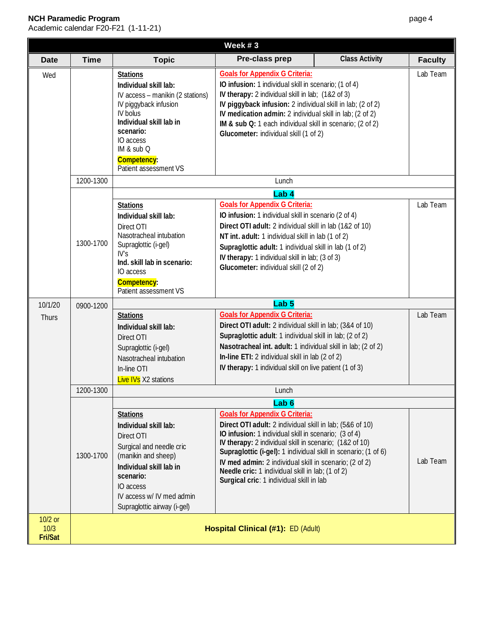| Week $#3$                  |             |                                                                                                                                                                                                                              |                                                                                                                                                                                                                                                                                                                                                                                                                                                                       |                       |                |
|----------------------------|-------------|------------------------------------------------------------------------------------------------------------------------------------------------------------------------------------------------------------------------------|-----------------------------------------------------------------------------------------------------------------------------------------------------------------------------------------------------------------------------------------------------------------------------------------------------------------------------------------------------------------------------------------------------------------------------------------------------------------------|-----------------------|----------------|
| <b>Date</b>                | <b>Time</b> | <b>Topic</b>                                                                                                                                                                                                                 | Pre-class prep                                                                                                                                                                                                                                                                                                                                                                                                                                                        | <b>Class Activity</b> | <b>Faculty</b> |
| Wed                        |             | <b>Stations</b><br>Individual skill lab:<br>IV access - manikin (2 stations)<br>IV piggyback infusion<br>IV bolus<br>Individual skill lab in<br>scenario:<br>IO access<br>IM & sub Q<br>Competency:<br>Patient assessment VS | <b>Goals for Appendix G Criteria:</b><br>IO infusion: 1 individual skill in scenario; (1 of 4)<br>IV therapy: 2 individual skill in lab; (1&2 of 3)<br>IV piggyback infusion: 2 individual skill in lab; (2 of 2)<br>IV medication admin: 2 individual skill in lab; (2 of 2)<br>IM & sub Q: 1 each individual skill in scenario; (2 of 2)<br>Glucometer: individual skill (1 of 2)                                                                                   |                       | Lab Team       |
|                            | 1200-1300   |                                                                                                                                                                                                                              | Lunch                                                                                                                                                                                                                                                                                                                                                                                                                                                                 |                       |                |
|                            |             |                                                                                                                                                                                                                              | Lab <sub>4</sub>                                                                                                                                                                                                                                                                                                                                                                                                                                                      |                       |                |
|                            | 1300-1700   | <b>Stations</b><br>Individual skill lab:<br>Direct OTI<br>Nasotracheal intubation<br>Supraglottic (i-gel)<br>IV <sub>S</sub><br>Ind. skill lab in scenario:<br>IO access<br>Competency:<br>Patient assessment VS             | <b>Goals for Appendix G Criteria:</b><br>IO infusion: 1 individual skill in scenario (2 of 4)<br>Direct OTI adult: 2 individual skill in lab (1&2 of 10)<br>NT int. adult: 1 individual skill in lab (1 of 2)<br>Supraglottic adult: 1 individual skill in lab (1 of 2)<br>IV therapy: 1 individual skill in lab; (3 of 3)<br>Glucometer: individual skill (2 of 2)                                                                                                   |                       | Lab Team       |
| 10/1/20                    | 0900-1200   |                                                                                                                                                                                                                              | Lab <sub>5</sub>                                                                                                                                                                                                                                                                                                                                                                                                                                                      |                       |                |
| Thurs                      |             | <b>Stations</b><br>Individual skill lab:<br>Direct OTI<br>Supraglottic (i-gel)<br>Nasotracheal intubation<br>In-line OTI<br><b>Live IVs</b> X2 stations                                                                      | <b>Goals for Appendix G Criteria:</b><br>Direct OTI adult: 2 individual skill in lab; (3&4 of 10)<br>Supraglottic adult: 1 individual skill in lab; (2 of 2)<br>Nasotracheal int. adult: 1 individual skill in lab; (2 of 2)<br>In-line ETI: 2 individual skill in lab (2 of 2)<br>IV therapy: 1 individual skill on live patient (1 of 3)                                                                                                                            |                       | Lab Team       |
|                            | 1200-1300   |                                                                                                                                                                                                                              | Lunch                                                                                                                                                                                                                                                                                                                                                                                                                                                                 |                       |                |
|                            | 1300-1700   | <b>Stations</b><br>Individual skill lab:<br>Direct OTI<br>Surgical and needle cric<br>(manikin and sheep)<br>Individual skill lab in<br>scenario:<br>IO access<br>IV access w/ IV med admin<br>Supraglottic airway (i-gel)   | Lab <sub>6</sub><br><b>Goals for Appendix G Criteria:</b><br>Direct OTI adult: 2 individual skill in lab; (5&6 of 10)<br>IO infusion: 1 individual skill in scenario; (3 of 4)<br>IV therapy: 2 individual skill in scenario; (1&2 of 10)<br>Supraglottic (i-gel): 1 individual skill in scenario; (1 of 6)<br>IV med admin: 2 individual skill in scenario; (2 of 2)<br>Needle cric: 1 individual skill in lab; (1 of 2)<br>Surgical cric: 1 individual skill in lab |                       | Lab Team       |
| 10/2 or<br>10/3<br>Fri/Sat |             | Hospital Clinical (#1): ED (Adult)                                                                                                                                                                                           |                                                                                                                                                                                                                                                                                                                                                                                                                                                                       |                       |                |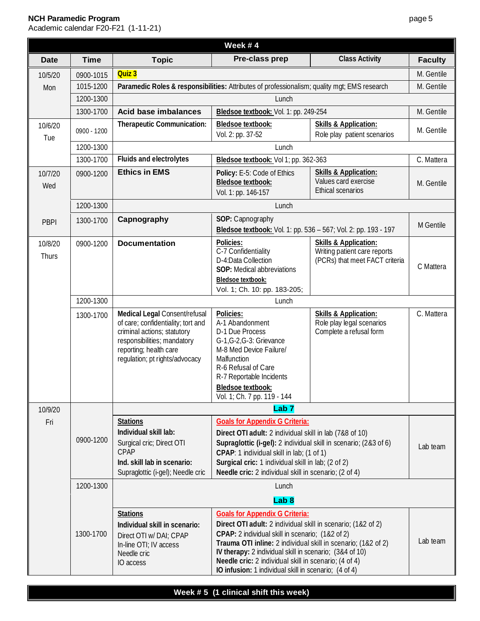|                  |             |                                                                                                                                                                                               | Week #4                                                                                                                                                                                                                                                                                                                                                                                                 |                                                                                                    |                |
|------------------|-------------|-----------------------------------------------------------------------------------------------------------------------------------------------------------------------------------------------|---------------------------------------------------------------------------------------------------------------------------------------------------------------------------------------------------------------------------------------------------------------------------------------------------------------------------------------------------------------------------------------------------------|----------------------------------------------------------------------------------------------------|----------------|
| <b>Date</b>      | <b>Time</b> | <b>Topic</b>                                                                                                                                                                                  | Pre-class prep                                                                                                                                                                                                                                                                                                                                                                                          | <b>Class Activity</b>                                                                              | <b>Faculty</b> |
| 10/5/20          | 0900-1015   | Quiz 3                                                                                                                                                                                        |                                                                                                                                                                                                                                                                                                                                                                                                         |                                                                                                    | M. Gentile     |
| Mon              | 1015-1200   | Paramedic Roles & responsibilities: Attributes of professionalism; quality mgt; EMS research                                                                                                  |                                                                                                                                                                                                                                                                                                                                                                                                         |                                                                                                    |                |
|                  | 1200-1300   | Lunch                                                                                                                                                                                         |                                                                                                                                                                                                                                                                                                                                                                                                         |                                                                                                    |                |
|                  | 1300-1700   | <b>Acid base imbalances</b>                                                                                                                                                                   | Bledsoe textbook: Vol. 1: pp. 249-254                                                                                                                                                                                                                                                                                                                                                                   |                                                                                                    | M. Gentile     |
| 10/6/20<br>Tue   | 0900 - 1200 | Therapeutic Communication:                                                                                                                                                                    | <b>Bledsoe textbook:</b><br>Vol. 2: pp. 37-52                                                                                                                                                                                                                                                                                                                                                           | <b>Skills &amp; Application:</b><br>Role play patient scenarios                                    | M. Gentile     |
|                  | 1200-1300   |                                                                                                                                                                                               | Lunch                                                                                                                                                                                                                                                                                                                                                                                                   |                                                                                                    |                |
|                  | 1300-1700   | Fluids and electrolytes                                                                                                                                                                       | Bledsoe textbook: Vol 1; pp. 362-363                                                                                                                                                                                                                                                                                                                                                                    |                                                                                                    | C. Mattera     |
| 10/7/20<br>Wed   | 0900-1200   | <b>Ethics in EMS</b>                                                                                                                                                                          | Policy: E-5: Code of Ethics<br>Bledsoe textbook:<br>Vol. 1: pp. 146-157                                                                                                                                                                                                                                                                                                                                 | <b>Skills &amp; Application:</b><br>Values card exercise<br>Ethical scenarios                      | M. Gentile     |
|                  | 1200-1300   |                                                                                                                                                                                               | Lunch                                                                                                                                                                                                                                                                                                                                                                                                   |                                                                                                    |                |
| <b>PBPI</b>      | 1300-1700   | Capnography                                                                                                                                                                                   | SOP: Capnography<br>Bledsoe textbook: Vol. 1: pp. 536 - 567; Vol. 2: pp. 193 - 197                                                                                                                                                                                                                                                                                                                      |                                                                                                    | M Gentile      |
| 10/8/20<br>Thurs | 0900-1200   | <b>Documentation</b>                                                                                                                                                                          | Policies:<br>C-7 Confidentiality<br>D-4:Data Collection<br>SOP: Medical abbreviations<br><b>Bledsoe textbook:</b><br>Vol. 1; Ch. 10: pp. 183-205;                                                                                                                                                                                                                                                       | <b>Skills &amp; Application:</b><br>Writing patient care reports<br>(PCRs) that meet FACT criteria | C Mattera      |
|                  | 1200-1300   | Lunch                                                                                                                                                                                         |                                                                                                                                                                                                                                                                                                                                                                                                         |                                                                                                    |                |
|                  | 1300-1700   | Medical Legal Consent/refusal<br>of care; confidentiality; tort and<br>criminal actions; statutory<br>responsibilities; mandatory<br>reporting; health care<br>regulation; pt rights/advocacy | Policies:<br>A-1 Abandonment<br>D-1 Due Process<br>G-1, G-2, G-3: Grievance<br>M-8 Med Device Failure/<br>Malfunction<br>R-6 Refusal of Care<br>R-7 Reportable Incidents<br>Bledsoe textbook:<br>Vol. 1; Ch. 7 pp. 119 - 144                                                                                                                                                                            | <b>Skills &amp; Application:</b><br>Role play legal scenarios<br>Complete a refusal form           | C. Mattera     |
| 10/9/20          |             |                                                                                                                                                                                               | Lab <sub>7</sub>                                                                                                                                                                                                                                                                                                                                                                                        |                                                                                                    |                |
| Fri              | 0900-1200   | <b>Stations</b><br>Individual skill lab:<br>Surgical cric; Direct OTI<br>CPAP<br>Ind. skill lab in scenario:<br>Supraglottic (i-gel); Needle cric                                             | <b>Goals for Appendix G Criteria:</b><br>Direct OTI adult: 2 individual skill in lab (7&8 of 10)<br>Supraglottic (i-gel): 2 individual skill in scenario; (2&3 of 6)<br>CPAP: 1 individual skill in lab; (1 of 1)<br>Surgical cric: 1 individual skill in lab; (2 of 2)<br>Needle cric: 2 individual skill in scenario; (2 of 4)                                                                        |                                                                                                    | Lab team       |
|                  | 1200-1300   |                                                                                                                                                                                               | Lunch                                                                                                                                                                                                                                                                                                                                                                                                   |                                                                                                    |                |
|                  |             |                                                                                                                                                                                               | Lab <sub>8</sub>                                                                                                                                                                                                                                                                                                                                                                                        |                                                                                                    |                |
|                  | 1300-1700   | <b>Stations</b><br>Individual skill in scenario:<br>Direct OTI w/ DAI; CPAP<br>In-line OTI; IV access<br>Needle cric<br>IO access                                                             | <b>Goals for Appendix G Criteria:</b><br>Direct OTI adult: 2 individual skill in scenario; (1&2 of 2)<br>CPAP: 2 individual skill in scenario; (1&2 of 2)<br>Trauma OTI inline: 2 individual skill in scenario; (1&2 of 2)<br>IV therapy: 2 individual skill in scenario; (3&4 of 10)<br>Needle cric: 2 individual skill in scenario; (4 of 4)<br>IO infusion: 1 individual skill in scenario; (4 of 4) |                                                                                                    | Lab team       |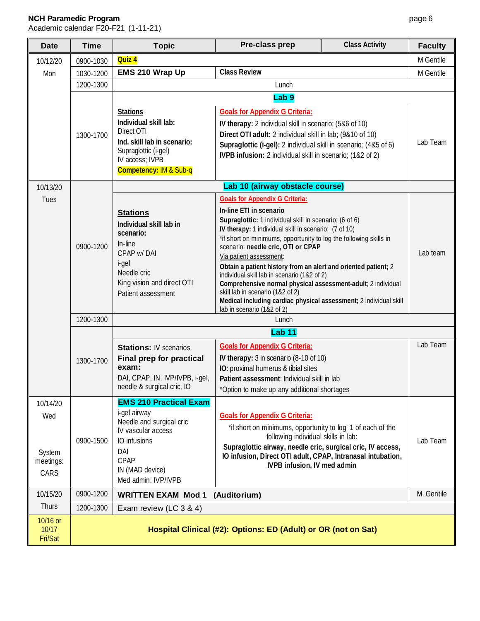# **NCH Paramedic Program**

| <b>Date</b>                                    | <b>Time</b> | <b>Topic</b>                                                                                                                                                             | Pre-class prep                                                                                                                                                                                                                                                                                                                                                                                                                                                                                                                                                                                                                                    | <b>Class Activity</b> | <b>Faculty</b> |
|------------------------------------------------|-------------|--------------------------------------------------------------------------------------------------------------------------------------------------------------------------|---------------------------------------------------------------------------------------------------------------------------------------------------------------------------------------------------------------------------------------------------------------------------------------------------------------------------------------------------------------------------------------------------------------------------------------------------------------------------------------------------------------------------------------------------------------------------------------------------------------------------------------------------|-----------------------|----------------|
| 10/12/20                                       | 0900-1030   | Quiz 4                                                                                                                                                                   |                                                                                                                                                                                                                                                                                                                                                                                                                                                                                                                                                                                                                                                   |                       | M Gentile      |
| Mon                                            | 1030-1200   | EMS 210 Wrap Up                                                                                                                                                          | <b>Class Review</b>                                                                                                                                                                                                                                                                                                                                                                                                                                                                                                                                                                                                                               |                       | M Gentile      |
|                                                | 1200-1300   |                                                                                                                                                                          | Lunch                                                                                                                                                                                                                                                                                                                                                                                                                                                                                                                                                                                                                                             |                       |                |
|                                                |             |                                                                                                                                                                          | Lab <sub>9</sub>                                                                                                                                                                                                                                                                                                                                                                                                                                                                                                                                                                                                                                  |                       |                |
|                                                | 1300-1700   | <b>Stations</b><br>Individual skill lab:<br>Direct OTI<br>Ind. skill lab in scenario:<br>Supraglottic (i-gel)<br>IV access; IVPB<br><b>Competency: IM &amp; Sub-q</b>    | <b>Goals for Appendix G Criteria:</b><br>IV therapy: 2 individual skill in scenario; (5&6 of 10)<br>Direct OTI adult: 2 individual skill in lab; (9&10 of 10)<br>Supraglottic (i-gel): 2 individual skill in scenario; (4&5 of 6)<br>IVPB infusion: 2 individual skill in scenario; (1&2 of 2)                                                                                                                                                                                                                                                                                                                                                    |                       | Lab Team       |
| 10/13/20                                       |             |                                                                                                                                                                          | Lab 10 (airway obstacle course)                                                                                                                                                                                                                                                                                                                                                                                                                                                                                                                                                                                                                   |                       |                |
| Tues                                           | 0900-1200   | <b>Stations</b><br>Individual skill lab in<br>scenario:<br>In-line<br>CPAP w/DAI<br>i-gel<br>Needle cric<br>King vision and direct OTI<br>Patient assessment             | <b>Goals for Appendix G Criteria:</b><br>In-line ETI in scenario<br>Supraglottic: 1 individual skill in scenario; (6 of 6)<br>IV therapy: 1 individual skill in scenario; (7 of 10)<br>*if short on minimums, opportunity to log the following skills in<br>scenario: needle cric, OTI or CPAP<br>Via patient assessment:<br>Obtain a patient history from an alert and oriented patient; 2<br>individual skill lab in scenario (1&2 of 2)<br>Comprehensive normal physical assessment-adult; 2 individual<br>skill lab in scenario (1&2 of 2)<br>Medical including cardiac physical assessment; 2 individual skill<br>lab in scenario (1&2 of 2) |                       | Lab team       |
|                                                | 1200-1300   |                                                                                                                                                                          | Lunch                                                                                                                                                                                                                                                                                                                                                                                                                                                                                                                                                                                                                                             |                       |                |
|                                                | 1300-1700   | <b>Stations: IV scenarios</b><br>Final prep for practical<br>exam:<br>DAI, CPAP, IN. IVP/IVPB, i-gel,<br>needle & surgical cric, IO                                      | <b>Lab 11</b><br><b>Goals for Appendix G Criteria:</b><br>IV therapy: 3 in scenario (8-10 of 10)<br>IO: proximal humerus & tibial sites<br>Patient assessment: Individual skill in lab<br>*Option to make up any additional shortages                                                                                                                                                                                                                                                                                                                                                                                                             |                       | Lab Team       |
| 10/14/20<br>Wed<br>System<br>meetings:<br>CARS | 0900-1500   | <b>EMS 210 Practical Exam</b><br>i-gel airway<br>Needle and surgical cric<br>IV vascular access<br>IO infusions<br>DAI<br>CPAP<br>IN (MAD device)<br>Med admin: IVP/IVPB | <b>Goals for Appendix G Criteria:</b><br>*if short on minimums, opportunity to log 1 of each of the<br>following individual skills in lab:<br>Supraglottic airway, needle cric, surgical cric, IV access,<br>IO infusion, Direct OTI adult, CPAP, Intranasal intubation,<br>IVPB infusion, IV med admin                                                                                                                                                                                                                                                                                                                                           |                       | Lab Team       |
| 10/15/20                                       | 0900-1200   | <b>WRITTEN EXAM Mod 1</b>                                                                                                                                                | (Auditorium)                                                                                                                                                                                                                                                                                                                                                                                                                                                                                                                                                                                                                                      |                       | M. Gentile     |
| Thurs                                          | 1200-1300   | Exam review (LC 3 & 4)                                                                                                                                                   |                                                                                                                                                                                                                                                                                                                                                                                                                                                                                                                                                                                                                                                   |                       |                |
| 10/16 or<br>10/17<br>Fri/Sat                   |             |                                                                                                                                                                          | Hospital Clinical (#2): Options: ED (Adult) or OR (not on Sat)                                                                                                                                                                                                                                                                                                                                                                                                                                                                                                                                                                                    |                       |                |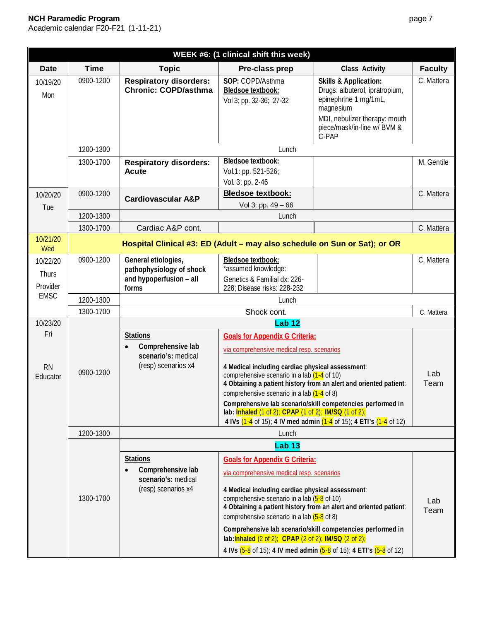| WEEK #6: (1 clinical shift this week)        |             |                                                                                     |                                                                                                                                                                                                                                                                                                                                                                                                                                                                                                                                            |                                                                                                                                                                                                       |                |  |
|----------------------------------------------|-------------|-------------------------------------------------------------------------------------|--------------------------------------------------------------------------------------------------------------------------------------------------------------------------------------------------------------------------------------------------------------------------------------------------------------------------------------------------------------------------------------------------------------------------------------------------------------------------------------------------------------------------------------------|-------------------------------------------------------------------------------------------------------------------------------------------------------------------------------------------------------|----------------|--|
| <b>Date</b>                                  | <b>Time</b> | <b>Topic</b>                                                                        | Pre-class prep                                                                                                                                                                                                                                                                                                                                                                                                                                                                                                                             | <b>Class Activity</b>                                                                                                                                                                                 | <b>Faculty</b> |  |
| 10/19/20<br>Mon                              | 0900-1200   | <b>Respiratory disorders:</b><br><b>Chronic: COPD/asthma</b>                        | SOP: COPD/Asthma<br>Bledsoe textbook:<br>Vol 3; pp. 32-36; 27-32                                                                                                                                                                                                                                                                                                                                                                                                                                                                           | <b>Skills &amp; Application:</b><br>Drugs: albuterol, ipratropium,<br>epinephrine 1 mg/1mL,<br>magnesium<br>MDI, nebulizer therapy: mouth<br>piece/mask/in-line w/ BVM &<br>C-PAP                     | C. Mattera     |  |
|                                              | 1200-1300   |                                                                                     | Lunch                                                                                                                                                                                                                                                                                                                                                                                                                                                                                                                                      |                                                                                                                                                                                                       |                |  |
|                                              | 1300-1700   | <b>Respiratory disorders:</b><br><b>Acute</b>                                       | <b>Bledsoe textbook:</b><br>Vol.1: pp. 521-526;<br>Vol. 3: pp. 2-46                                                                                                                                                                                                                                                                                                                                                                                                                                                                        |                                                                                                                                                                                                       | M. Gentile     |  |
| 10/20/20<br>Tue                              | 0900-1200   | <b>Cardiovascular A&amp;P</b>                                                       | <b>Bledsoe textbook:</b><br>Vol 3: pp. 49 - 66                                                                                                                                                                                                                                                                                                                                                                                                                                                                                             |                                                                                                                                                                                                       | C. Mattera     |  |
|                                              | 1200-1300   |                                                                                     | Lunch                                                                                                                                                                                                                                                                                                                                                                                                                                                                                                                                      |                                                                                                                                                                                                       |                |  |
|                                              | 1300-1700   | Cardiac A&P cont.                                                                   |                                                                                                                                                                                                                                                                                                                                                                                                                                                                                                                                            |                                                                                                                                                                                                       | C. Mattera     |  |
| 10/21/20<br>Wed                              |             | Hospital Clinical #3: ED (Adult - may also schedule on Sun or Sat); or OR           |                                                                                                                                                                                                                                                                                                                                                                                                                                                                                                                                            |                                                                                                                                                                                                       |                |  |
| 10/22/20<br>Thurs<br>Provider<br><b>EMSC</b> | 0900-1200   | General etiologies,<br>pathophysiology of shock<br>and hypoperfusion - all<br>forms | Bledsoe textbook:<br>*assumed knowledge:<br>Genetics & Familial dx: 226-<br>228; Disease risks: 228-232                                                                                                                                                                                                                                                                                                                                                                                                                                    |                                                                                                                                                                                                       | C. Mattera     |  |
|                                              | 1200-1300   |                                                                                     | Lunch                                                                                                                                                                                                                                                                                                                                                                                                                                                                                                                                      |                                                                                                                                                                                                       |                |  |
|                                              | 1300-1700   | Shock cont.                                                                         |                                                                                                                                                                                                                                                                                                                                                                                                                                                                                                                                            |                                                                                                                                                                                                       |                |  |
| 10/23/20                                     |             |                                                                                     | <b>Lab 12</b>                                                                                                                                                                                                                                                                                                                                                                                                                                                                                                                              |                                                                                                                                                                                                       |                |  |
| Fri<br><b>RN</b><br>Educator                 | 0900-1200   | <b>Stations</b><br>Comprehensive lab<br>scenario's: medical<br>(resp) scenarios x4  | <b>Goals for Appendix G Criteria:</b><br>via comprehensive medical resp. scenarios<br>4 Medical including cardiac physical assessment:<br>comprehensive scenario in a lab $(1-4)$ of 10)<br>comprehensive scenario in a lab $(1-4)$ of 8)<br>lab: <b>Inhaled</b> (1 of 2); CPAP (1 of 2); IM/SQ (1 of 2);                                                                                                                                                                                                                                  | 4 Obtaining a patient history from an alert and oriented patient:<br>Comprehensive lab scenario/skill competencies performed in<br>4 IVs (1-4 of 15); 4 IV med admin (1-4 of 15); 4 ETI's (1-4 of 12) | Lab<br>Team    |  |
|                                              | 1200-1300   |                                                                                     | Lunch                                                                                                                                                                                                                                                                                                                                                                                                                                                                                                                                      |                                                                                                                                                                                                       |                |  |
|                                              | 1300-1700   | <b>Stations</b><br>Comprehensive lab<br>scenario's: medical<br>(resp) scenarios x4  | <b>Lab 13</b><br><b>Goals for Appendix G Criteria:</b><br>via comprehensive medical resp. scenarios<br>4 Medical including cardiac physical assessment:<br>comprehensive scenario in a lab $(5-8)$ of 10)<br>4 Obtaining a patient history from an alert and oriented patient:<br>comprehensive scenario in a lab $(5-8)$ of 8)<br>Comprehensive lab scenario/skill competencies performed in<br>lab: <b>Inhaled</b> (2 of 2); CPAP (2 of 2); <b>IM/SQ</b> (2 of 2);<br>4 IVs (5-8 of 15); 4 IV med admin (5-8 of 15); 4 ETI's (5-8 of 12) |                                                                                                                                                                                                       | Lab<br>Team    |  |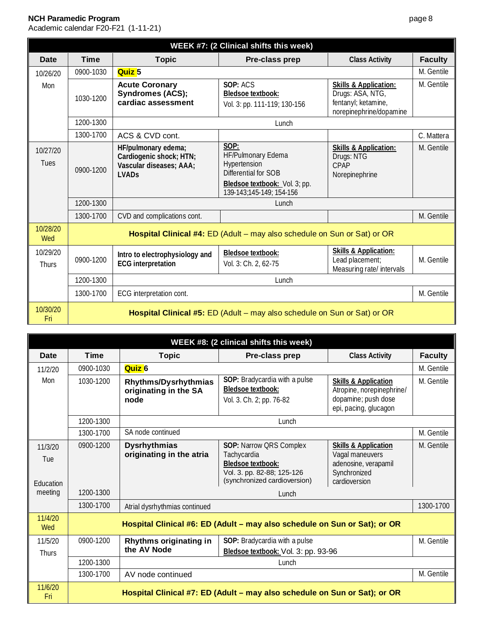| WEEK #7: (2 Clinical shifts this week) |             |                                                                                                      |                                                                                                                                 |                                                                                                        |                |
|----------------------------------------|-------------|------------------------------------------------------------------------------------------------------|---------------------------------------------------------------------------------------------------------------------------------|--------------------------------------------------------------------------------------------------------|----------------|
| <b>Date</b>                            | <b>Time</b> | <b>Topic</b>                                                                                         | Pre-class prep                                                                                                                  | <b>Class Activity</b>                                                                                  | <b>Faculty</b> |
| 10/26/20                               | 0900-1030   | Quiz <sub>5</sub>                                                                                    |                                                                                                                                 |                                                                                                        | M. Gentile     |
| Mon                                    | 1030-1200   | <b>Acute Coronary</b><br><b>Syndromes (ACS);</b><br>cardiac assessment                               | SOP: ACS<br><b>Bledsoe textbook:</b><br>Vol. 3: pp. 111-119; 130-156                                                            | <b>Skills &amp; Application:</b><br>Drugs: ASA, NTG,<br>fentanyl; ketamine,<br>norepinephrine/dopamine | M. Gentile     |
|                                        | 1200-1300   |                                                                                                      | Lunch                                                                                                                           |                                                                                                        |                |
|                                        | 1300-1700   | ACS & CVD cont.                                                                                      |                                                                                                                                 |                                                                                                        | C. Mattera     |
| 10/27/20<br>Tues                       | 0900-1200   | HF/pulmonary edema;<br>Cardiogenic shock; HTN;<br>Vascular diseases; AAA;<br><b>LVAD<sub>S</sub></b> | SOP:<br>HF/Pulmonary Edema<br>Hypertension<br>Differential for SOB<br>Bledsoe textbook: Vol. 3; pp.<br>139-143;145-149; 154-156 | <b>Skills &amp; Application:</b><br>Drugs: NTG<br>CPAP<br>Norepinephrine                               | M. Gentile     |
|                                        | 1200-1300   |                                                                                                      | Lunch                                                                                                                           |                                                                                                        |                |
|                                        | 1300-1700   | CVD and complications cont.                                                                          |                                                                                                                                 |                                                                                                        | M. Gentile     |
| 10/28/20<br>Wed                        |             |                                                                                                      | Hospital Clinical #4: ED (Adult - may also schedule on Sun or Sat) or OR                                                        |                                                                                                        |                |
| 10/29/20<br>Thurs                      | 0900-1200   | Intro to electrophysiology and<br><b>ECG</b> interpretation                                          | Bledsoe textbook:<br>Vol. 3: Ch. 2, 62-75                                                                                       | <b>Skills &amp; Application:</b><br>Lead placement;<br>Measuring rate/ intervals                       | M. Gentile     |
|                                        | 1200-1300   |                                                                                                      | Lunch                                                                                                                           |                                                                                                        |                |
|                                        | 1300-1700   | ECG interpretation cont.                                                                             |                                                                                                                                 |                                                                                                        | M. Gentile     |
| 10/30/20<br>Fri                        |             |                                                                                                      | Hospital Clinical #5: ED (Adult – may also schedule on Sun or Sat) or OR                                                        |                                                                                                        |                |

|                             | WEEK #8: (2 clinical shifts this week) |                                                       |                                                                                                                                  |                                                                                                              |                |  |  |
|-----------------------------|----------------------------------------|-------------------------------------------------------|----------------------------------------------------------------------------------------------------------------------------------|--------------------------------------------------------------------------------------------------------------|----------------|--|--|
| <b>Date</b>                 | Time                                   | <b>Topic</b>                                          | Pre-class prep                                                                                                                   | <b>Class Activity</b>                                                                                        | <b>Faculty</b> |  |  |
| 11/2/20                     | 0900-1030                              | Quiz <sub>6</sub>                                     |                                                                                                                                  |                                                                                                              | M. Gentile     |  |  |
| Mon                         | 1030-1200                              | Rhythms/Dysrhythmias<br>originating in the SA<br>node | SOP: Bradycardia with a pulse<br><b>Bledsoe textbook:</b><br>Vol. 3. Ch. 2; pp. 76-82                                            | <b>Skills &amp; Application</b><br>Atropine, norepinephrine/<br>dopamine; push dose<br>epi, pacing, glucagon | M. Gentile     |  |  |
|                             | 1200-1300                              |                                                       | Lunch                                                                                                                            |                                                                                                              |                |  |  |
|                             | 1300-1700                              | SA node continued                                     |                                                                                                                                  |                                                                                                              | M. Gentile     |  |  |
| 11/3/20<br>Tue<br>Education | 0900-1200                              | <b>Dysrhythmias</b><br>originating in the atria       | SOP: Narrow QRS Complex<br>Tachycardia<br><b>Bledsoe textbook:</b><br>Vol. 3. pp. 82-88; 125-126<br>(synchronized cardioversion) | <b>Skills &amp; Application</b><br>Vagal maneuvers<br>adenosine, verapamil<br>Synchronized<br>cardioversion  | M. Gentile     |  |  |
| meeting                     | 1200-1300                              |                                                       | Lunch                                                                                                                            |                                                                                                              |                |  |  |
|                             | 1300-1700                              | Atrial dysrhythmias continued                         |                                                                                                                                  |                                                                                                              | 1300-1700      |  |  |
| 11/4/20<br>Wed              |                                        |                                                       | Hospital Clinical #6: ED (Adult – may also schedule on Sun or Sat); or OR                                                        |                                                                                                              |                |  |  |
| 11/5/20<br><b>Thurs</b>     | 0900-1200                              | Rhythms originating in<br>the AV Node                 | SOP: Bradycardia with a pulse<br>Bledsoe textbook: Vol. 3: pp. 93-96                                                             |                                                                                                              | M. Gentile     |  |  |
|                             | 1200-1300                              |                                                       | Lunch                                                                                                                            |                                                                                                              |                |  |  |
|                             | 1300-1700                              | AV node continued                                     |                                                                                                                                  |                                                                                                              | M. Gentile     |  |  |
| 11/6/20<br>Fri              |                                        |                                                       | Hospital Clinical #7: ED (Adult – may also schedule on Sun or Sat); or OR                                                        |                                                                                                              |                |  |  |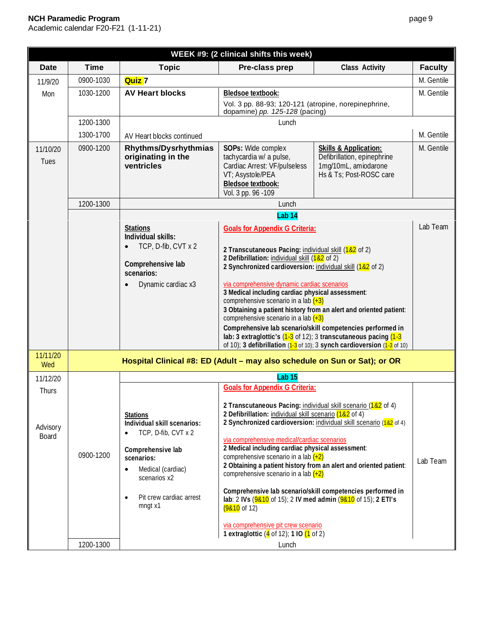| WEEK #9: (2 clinical shifts this week) |             |                                                                                                                                                            |                                                                                                                                                                                                                                                                                                                                                                                                                                    |                                                                                                                                                                                                                  |                |
|----------------------------------------|-------------|------------------------------------------------------------------------------------------------------------------------------------------------------------|------------------------------------------------------------------------------------------------------------------------------------------------------------------------------------------------------------------------------------------------------------------------------------------------------------------------------------------------------------------------------------------------------------------------------------|------------------------------------------------------------------------------------------------------------------------------------------------------------------------------------------------------------------|----------------|
| Date                                   | <b>Time</b> | <b>Topic</b>                                                                                                                                               | Pre-class prep                                                                                                                                                                                                                                                                                                                                                                                                                     | <b>Class Activity</b>                                                                                                                                                                                            | <b>Faculty</b> |
| 11/9/20                                | 0900-1030   | <b>Quiz</b> 7                                                                                                                                              |                                                                                                                                                                                                                                                                                                                                                                                                                                    |                                                                                                                                                                                                                  | M. Gentile     |
| Mon                                    | 1030-1200   | <b>AV Heart blocks</b>                                                                                                                                     | <b>Bledsoe textbook:</b>                                                                                                                                                                                                                                                                                                                                                                                                           |                                                                                                                                                                                                                  | M. Gentile     |
|                                        |             |                                                                                                                                                            | Vol. 3 pp. 88-93; 120-121 (atropine, norepinephrine,<br>dopamine) pp. 125-128 (pacing)                                                                                                                                                                                                                                                                                                                                             |                                                                                                                                                                                                                  |                |
|                                        | 1200-1300   |                                                                                                                                                            | Lunch                                                                                                                                                                                                                                                                                                                                                                                                                              |                                                                                                                                                                                                                  |                |
|                                        | 1300-1700   | AV Heart blocks continued                                                                                                                                  |                                                                                                                                                                                                                                                                                                                                                                                                                                    |                                                                                                                                                                                                                  | M. Gentile     |
| 11/10/20<br><b>Tues</b>                | 0900-1200   | Rhythms/Dysrhythmias<br>originating in the<br>ventricles                                                                                                   | SOPs: Wide complex<br>tachycardia w/ a pulse,<br>Cardiac Arrest: VF/pulseless<br>VT; Asystole/PEA<br><b>Bledsoe textbook:</b><br>Vol. 3 pp. 96 - 109                                                                                                                                                                                                                                                                               | <b>Skills &amp; Application:</b><br>Defibrillation, epinephrine<br>1mg/10mL, amiodarone<br>Hs & Ts; Post-ROSC care                                                                                               | M. Gentile     |
|                                        | 1200-1300   |                                                                                                                                                            | Lunch                                                                                                                                                                                                                                                                                                                                                                                                                              |                                                                                                                                                                                                                  |                |
|                                        |             |                                                                                                                                                            | Lab <sub>14</sub>                                                                                                                                                                                                                                                                                                                                                                                                                  |                                                                                                                                                                                                                  |                |
|                                        |             | <b>Stations</b><br>Individual skills:                                                                                                                      | <b>Goals for Appendix G Criteria:</b>                                                                                                                                                                                                                                                                                                                                                                                              |                                                                                                                                                                                                                  | Lab Team       |
|                                        |             | TCP, D-fib, CVT x 2<br>Comprehensive lab<br>scenarios:<br>Dynamic cardiac x3                                                                               | 2 Transcutaneous Pacing: individual skill (1&2 of 2)<br>2 Defibrillation: individual skill (1&2 of 2)<br>2 Synchronized cardioversion: individual skill (1&2 of 2)<br>via comprehensive dynamic cardiac scenarios<br>3 Medical including cardiac physical assessment:<br>comprehensive scenario in a lab $(+3)$<br>comprehensive scenario in a lab $(+3)$<br>lab: 3 extraglottic's $(1-3)$ of 12); 3 transcutaneous pacing $(1-3)$ | 3 Obtaining a patient history from an alert and oriented patient:<br>Comprehensive lab scenario/skill competencies performed in<br>of 10); 3 defibrillation $(1-3)$ of 10); 3 synch cardioversion $(1-3)$ of 10) |                |
| 11/11/20<br>Wed                        |             | Hospital Clinical #8: ED (Adult - may also schedule on Sun or Sat); or OR                                                                                  |                                                                                                                                                                                                                                                                                                                                                                                                                                    |                                                                                                                                                                                                                  |                |
| 11/12/20                               |             |                                                                                                                                                            | Lab <sub>15</sub>                                                                                                                                                                                                                                                                                                                                                                                                                  |                                                                                                                                                                                                                  |                |
| <b>Thurs</b>                           |             |                                                                                                                                                            | <b>Goals for Appendix G Criteria:</b>                                                                                                                                                                                                                                                                                                                                                                                              |                                                                                                                                                                                                                  |                |
| Advisory<br>Board                      | 0900-1200   | <b>Stations</b><br>Individual skill scenarios:<br>TCP, D-fib, CVT x 2<br>Comprehensive lab<br>scenarios:<br>Medical (cardiac)<br>$\bullet$<br>scenarios x2 | 2 Transcutaneous Pacing: individual skill scenario (1&2 of 4)<br>2 Defibrillation: individual skill scenario (1&2 of 4)<br>via comprehensive medical/cardiac scenarios<br>2 Medical including cardiac physical assessment:<br>comprehensive scenario in a lab $(+2)$<br>comprehensive scenario in a lab $(+2)$                                                                                                                     | 2 Synchronized cardioversion: individual skill scenario (182 of 4)<br>2 Obtaining a patient history from an alert and oriented patient:<br>Comprehensive lab scenario/skill competencies performed in            | Lab Team       |
|                                        |             | Pit crew cardiac arrest<br>$\bullet$<br>mngt x1                                                                                                            | lab: 2 IVs $(9810 \text{ of } 15)$ ; 2 IV med admin $(9810 \text{ of } 15)$ ; 2 ETI's<br>$(9810 \text{ of } 12)$<br>via comprehensive pit crew scenario                                                                                                                                                                                                                                                                            |                                                                                                                                                                                                                  |                |
|                                        |             |                                                                                                                                                            |                                                                                                                                                                                                                                                                                                                                                                                                                                    |                                                                                                                                                                                                                  |                |
|                                        | 1200-1300   |                                                                                                                                                            | 1 extraglottic $(4 \text{ of } 12)$ ; 1 IO $(1 \text{ of } 2)$<br>Lunch                                                                                                                                                                                                                                                                                                                                                            |                                                                                                                                                                                                                  |                |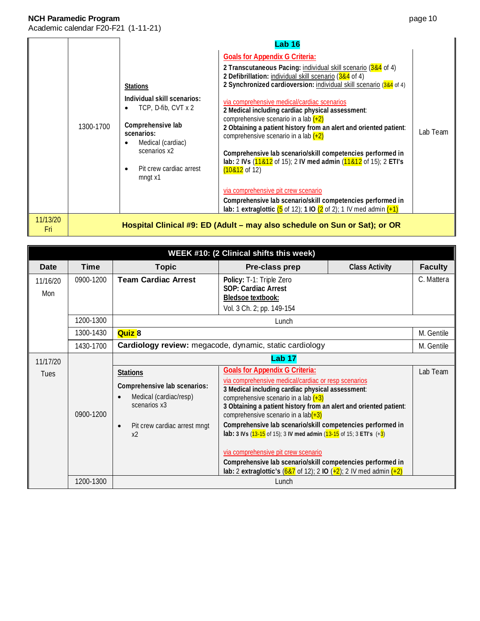|                  |           | Lab <sub>16</sub>                                                                                                                                                                                |                                                                                                                                                                                                                                                                                                                                                                                                                                                                                                                                                                                                                                                                                                                                                                                                                                                           |          |
|------------------|-----------|--------------------------------------------------------------------------------------------------------------------------------------------------------------------------------------------------|-----------------------------------------------------------------------------------------------------------------------------------------------------------------------------------------------------------------------------------------------------------------------------------------------------------------------------------------------------------------------------------------------------------------------------------------------------------------------------------------------------------------------------------------------------------------------------------------------------------------------------------------------------------------------------------------------------------------------------------------------------------------------------------------------------------------------------------------------------------|----------|
|                  | 1300-1700 | <b>Stations</b><br>Individual skill scenarios:<br>TCP, D-fib, CVT x 2<br>Comprehensive lab<br>scenarios:<br>Medical (cardiac)<br>scenarios x2<br>Pit crew cardiac arrest<br>$\bullet$<br>mngt x1 | <b>Goals for Appendix G Criteria:</b><br>2 Transcutaneous Pacing: individual skill scenario (3&4 of 4)<br>2 Defibrillation: individual skill scenario (3&4 of 4)<br>2 Synchronized cardioversion: individual skill scenario (384 of 4)<br>via comprehensive medical/cardiac scenarios<br>2 Medical including cardiac physical assessment:<br>comprehensive scenario in a lab $(+2)$<br>2 Obtaining a patient history from an alert and oriented patient:<br>comprehensive scenario in a lab $(+2)$<br>Comprehensive lab scenario/skill competencies performed in<br>lab: 2 IVs (11&12 of 15); 2 IV med admin (11&12 of 15); 2 ETI's<br>$(10&12$ of 12)<br>via comprehensive pit crew scenario<br>Comprehensive lab scenario/skill competencies performed in<br>lab: 1 extraglottic $(5 \text{ of } 12)$ ; 1 IO $(2 \text{ of } 2)$ ; 1 IV med admin $(1)$ | Lab Team |
| 11/13/20<br>-Fri |           |                                                                                                                                                                                                  | Hospital Clinical #9: ED (Adult – may also schedule on Sun or Sat); or OR                                                                                                                                                                                                                                                                                                                                                                                                                                                                                                                                                                                                                                                                                                                                                                                 |          |

| WEEK #10: (2 Clinical shifts this week)                                                                                                                                                                                                                                                                                                                                                                                                                                                                                                                                                                                                                                                                                                                                |           |                                                                                    |                                                                                                          |                       |                |
|------------------------------------------------------------------------------------------------------------------------------------------------------------------------------------------------------------------------------------------------------------------------------------------------------------------------------------------------------------------------------------------------------------------------------------------------------------------------------------------------------------------------------------------------------------------------------------------------------------------------------------------------------------------------------------------------------------------------------------------------------------------------|-----------|------------------------------------------------------------------------------------|----------------------------------------------------------------------------------------------------------|-----------------------|----------------|
| Date                                                                                                                                                                                                                                                                                                                                                                                                                                                                                                                                                                                                                                                                                                                                                                   | Time      | <b>Topic</b>                                                                       | Pre-class prep                                                                                           | <b>Class Activity</b> | <b>Faculty</b> |
| 11/16/20<br>Mon                                                                                                                                                                                                                                                                                                                                                                                                                                                                                                                                                                                                                                                                                                                                                        | 0900-1200 | <b>Team Cardiac Arrest</b>                                                         | Policy: T-1: Triple Zero<br>SOP: Cardiac Arrest<br><b>Bledsoe textbook:</b><br>Vol. 3 Ch. 2; pp. 149-154 |                       | C. Mattera     |
|                                                                                                                                                                                                                                                                                                                                                                                                                                                                                                                                                                                                                                                                                                                                                                        | 1200-1300 |                                                                                    | Lunch                                                                                                    |                       |                |
|                                                                                                                                                                                                                                                                                                                                                                                                                                                                                                                                                                                                                                                                                                                                                                        | 1300-1430 | <b>Quiz 8</b>                                                                      |                                                                                                          |                       | M. Gentile     |
|                                                                                                                                                                                                                                                                                                                                                                                                                                                                                                                                                                                                                                                                                                                                                                        | 1430-1700 |                                                                                    | Cardiology review: megacode, dynamic, static cardiology                                                  |                       | M. Gentile     |
| 11/17/20                                                                                                                                                                                                                                                                                                                                                                                                                                                                                                                                                                                                                                                                                                                                                               |           |                                                                                    | <b>Lab 17</b>                                                                                            |                       |                |
| <b>Goals for Appendix G Criteria:</b><br><b>Stations</b><br><b>Tues</b><br>via comprehensive medical/cardiac or resp scenarios<br>Comprehensive lab scenarios:<br>3 Medical including cardiac physical assessment:<br>Medical (cardiac/resp)<br>comprehensive scenario in a lab $(+3)$<br>$\bullet$<br>scenarios x3<br>3 Obtaining a patient history from an alert and oriented patient:<br>0900-1200<br>comprehensive scenario in a $lab(+3)$<br>Comprehensive lab scenario/skill competencies performed in<br>Pit crew cardiac arrest mngt<br>$\bullet$<br><b>lab:</b> 3 IVs $(13-15)$ of 15); 3 IV med admin $(13-15)$ of 15; 3 ETI's $(+3)$<br>x <sub>2</sub><br>via comprehensive pit crew scenario<br>Comprehensive lab scenario/skill competencies performed in |           | lab: 2 extraglottic's $(687 \text{ of } 12)$ ; 2 IO $(+2)$ ; 2 IV med admin $(+2)$ | Lab Team                                                                                                 |                       |                |
|                                                                                                                                                                                                                                                                                                                                                                                                                                                                                                                                                                                                                                                                                                                                                                        | 1200-1300 |                                                                                    | Lunch                                                                                                    |                       |                |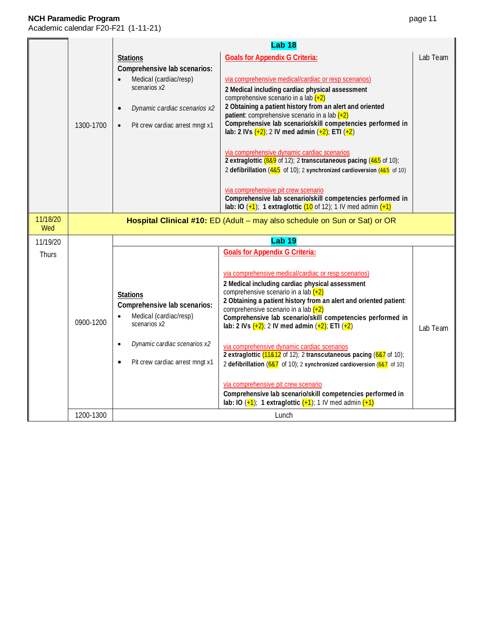|                 |           | <b>Lab 18</b>                                                                                                                                                                          |                                                                                                                                                                                                                                                                                                                                                                                                                                                                                                                                                                                                                                                                                                                                                                                                                                                           |          |  |
|-----------------|-----------|----------------------------------------------------------------------------------------------------------------------------------------------------------------------------------------|-----------------------------------------------------------------------------------------------------------------------------------------------------------------------------------------------------------------------------------------------------------------------------------------------------------------------------------------------------------------------------------------------------------------------------------------------------------------------------------------------------------------------------------------------------------------------------------------------------------------------------------------------------------------------------------------------------------------------------------------------------------------------------------------------------------------------------------------------------------|----------|--|
|                 | 1300-1700 | <b>Stations</b><br>Comprehensive lab scenarios:<br>Medical (cardiac/resp)<br>scenarios x2<br>Dynamic cardiac scenarios x2<br>$\bullet$<br>Pit crew cardiac arrest mngt x1<br>$\bullet$ | <b>Goals for Appendix G Criteria:</b><br>via comprehensive medical/cardiac or resp scenarios)<br>2 Medical including cardiac physical assessment<br>comprehensive scenario in a lab $(+2)$<br>2 Obtaining a patient history from an alert and oriented<br>patient: comprehensive scenario in a lab $(+2)$<br>Comprehensive lab scenario/skill competencies performed in<br>lab: 2 IVs $(+2)$ ; 2 IV med admin $(+2)$ ; ETI $(+2)$<br>via comprehensive dynamic cardiac scenarios<br>2 extraglottic (889 of 12); 2 transcutaneous pacing (485 of 10);<br>2 defibrillation $(485 \text{ of } 10)$ ; 2 synchronized cardioversion $(485 \text{ of } 10)$<br>via comprehensive pit crew scenario<br>Comprehensive lab scenario/skill competencies performed in<br>lab: IO $(+1)$ ; 1 extraglottic $(10$ of 12); 1 IV med admin $(+1)$                         | Lab Team |  |
| 11/18/20<br>Wed |           |                                                                                                                                                                                        | Hospital Clinical #10: ED (Adult – may also schedule on Sun or Sat) or OR                                                                                                                                                                                                                                                                                                                                                                                                                                                                                                                                                                                                                                                                                                                                                                                 |          |  |
| 11/19/20        |           |                                                                                                                                                                                        | <b>Lab 19</b>                                                                                                                                                                                                                                                                                                                                                                                                                                                                                                                                                                                                                                                                                                                                                                                                                                             |          |  |
| Thurs           | 0900-1200 | <b>Stations</b><br>Comprehensive lab scenarios:<br>Medical (cardiac/resp)<br>scenarios x2<br>Dynamic cardiac scenarios x2<br>$\bullet$<br>Pit crew cardiac arrest mngt x1<br>$\bullet$ | <b>Goals for Appendix G Criteria:</b><br>via comprehensive medical/cardiac or resp scenarios)<br>2 Medical including cardiac physical assessment<br>comprehensive scenario in a lab $(+2)$<br>2 Obtaining a patient history from an alert and oriented patient:<br>comprehensive scenario in a lab $(+2)$<br>Comprehensive lab scenario/skill competencies performed in<br>lab: 2 IVs $(+2)$ ; 2 IV med admin $(+2)$ ; ETI $(+2)$<br>via comprehensive dynamic cardiac scenarios<br>2 extraglottic (11&12 of 12); 2 transcutaneous pacing (6&7 of 10);<br>2 defibrillation $(687 \text{ of } 10)$ ; 2 synchronized cardioversion $(687 \text{ of } 10)$<br>via comprehensive pit crew scenario<br>Comprehensive lab scenario/skill competencies performed in<br>lab: IO $(\frac{1}{2})$ ; 1 extraglottic $(\frac{1}{2})$ ; 1 IV med admin $(\frac{1}{2})$ | Lab Team |  |
|                 | 1200-1300 |                                                                                                                                                                                        | Lunch                                                                                                                                                                                                                                                                                                                                                                                                                                                                                                                                                                                                                                                                                                                                                                                                                                                     |          |  |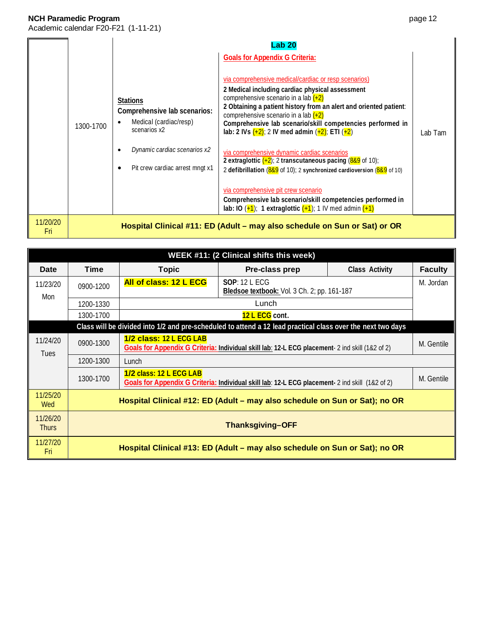|                 |           | <b>Lab 20</b>                                                                                                                                                |                                                                                                                                                                                                                                                                                                                                                                                                                                                                                                                                                                                                                                                                                                                                                                                                                                                        |         |
|-----------------|-----------|--------------------------------------------------------------------------------------------------------------------------------------------------------------|--------------------------------------------------------------------------------------------------------------------------------------------------------------------------------------------------------------------------------------------------------------------------------------------------------------------------------------------------------------------------------------------------------------------------------------------------------------------------------------------------------------------------------------------------------------------------------------------------------------------------------------------------------------------------------------------------------------------------------------------------------------------------------------------------------------------------------------------------------|---------|
|                 | 1300-1700 | <b>Stations</b><br>Comprehensive lab scenarios:<br>Medical (cardiac/resp)<br>scenarios x2<br>Dynamic cardiac scenarios x2<br>Pit crew cardiac arrest mngt x1 | <b>Goals for Appendix G Criteria:</b><br>via comprehensive medical/cardiac or resp scenarios)<br>2 Medical including cardiac physical assessment<br>comprehensive scenario in a lab $(+2)$<br>2 Obtaining a patient history from an alert and oriented patient:<br>comprehensive scenario in a lab $(+2)$<br>Comprehensive lab scenario/skill competencies performed in<br>lab: 2 IVs $(+2)$ ; 2 IV med admin $(+2)$ ; ETI $(+2)$<br>via comprehensive dynamic cardiac scenarios<br>2 extraglottic $(+2)$ ; 2 transcutaneous pacing $(889)$ of 10);<br>2 defibrillation $(889 \text{ of } 10)$ ; 2 synchronized cardioversion $(889 \text{ of } 10)$<br>via comprehensive pit crew scenario<br>Comprehensive lab scenario/skill competencies performed in<br>lab: IO $(\frac{1}{2})$ ; 1 extraglottic $(\frac{1}{2})$ ; 1 IV med admin $(\frac{1}{2})$ | Lab Tam |
| 11/20/20<br>Fri |           |                                                                                                                                                              | Hospital Clinical #11: ED (Adult - may also schedule on Sun or Sat) or OR                                                                                                                                                                                                                                                                                                                                                                                                                                                                                                                                                                                                                                                                                                                                                                              |         |

|                          | WEEK #11: (2 Clinical shifts this week)                                    |                                                                                                                                          |                                                                                                             |                |                |  |
|--------------------------|----------------------------------------------------------------------------|------------------------------------------------------------------------------------------------------------------------------------------|-------------------------------------------------------------------------------------------------------------|----------------|----------------|--|
| Date                     | <b>Time</b>                                                                | <b>Topic</b>                                                                                                                             | Pre-class prep                                                                                              | Class Activity | <b>Faculty</b> |  |
| 11/23/20<br>Mon          | 0900-1200                                                                  | All of class: 12 L ECG<br>SOP: 12 L ECG<br>Bledsoe textbook: Vol. 3 Ch. 2; pp. 161-187                                                   |                                                                                                             |                | M. Jordan      |  |
|                          | 1200-1330                                                                  |                                                                                                                                          | Lunch                                                                                                       |                |                |  |
|                          | 1300-1700                                                                  |                                                                                                                                          | 12 L ECG cont.                                                                                              |                |                |  |
|                          |                                                                            |                                                                                                                                          | Class will be divided into 1/2 and pre-scheduled to attend a 12 lead practical class over the next two days |                |                |  |
| 11/24/20<br><b>Tues</b>  | 0900-1300                                                                  | 1/2 class: 12 L ECG LAB<br>Goals for Appendix G Criteria: Individual skill lab: 12-L ECG placement- 2 ind skill (1&2 of 2)               |                                                                                                             |                |                |  |
|                          | 1200-1300                                                                  | Lunch                                                                                                                                    |                                                                                                             |                |                |  |
|                          | 1300-1700                                                                  | 1/2 class: 12 L ECG LAB<br>M. Gentile<br>Goals for Appendix G Criteria: Individual skill lab: 12-L ECG placement- 2 ind skill (1&2 of 2) |                                                                                                             |                |                |  |
| 11/25/20<br><b>Wed</b>   | Hospital Clinical #12: ED (Adult – may also schedule on Sun or Sat); no OR |                                                                                                                                          |                                                                                                             |                |                |  |
| 11/26/20<br><b>Thurs</b> | <b>Thanksgiving-OFF</b>                                                    |                                                                                                                                          |                                                                                                             |                |                |  |
| 11/27/20<br>Fri          |                                                                            | Hospital Clinical #13: ED (Adult – may also schedule on Sun or Sat); no OR                                                               |                                                                                                             |                |                |  |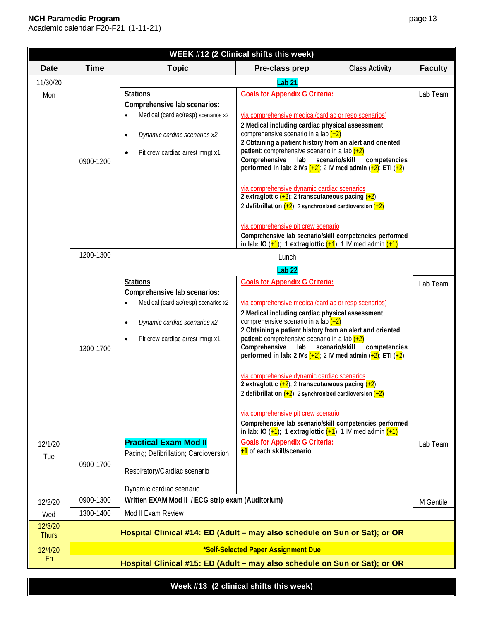# **NCH Paramedic Program**

Academic calendar F20-F21 (1-11-21)

| page |  |
|------|--|
|      |  |

| WEEK #12 (2 Clinical shifts this week) |                                                                            |                                                                                                                                                                                     |                                                                                                                                                                                                                                                                                                                                                                                                                                                                                                                                                                                                                                                                                                                                                                                                                                                                                        |                                |                |  |
|----------------------------------------|----------------------------------------------------------------------------|-------------------------------------------------------------------------------------------------------------------------------------------------------------------------------------|----------------------------------------------------------------------------------------------------------------------------------------------------------------------------------------------------------------------------------------------------------------------------------------------------------------------------------------------------------------------------------------------------------------------------------------------------------------------------------------------------------------------------------------------------------------------------------------------------------------------------------------------------------------------------------------------------------------------------------------------------------------------------------------------------------------------------------------------------------------------------------------|--------------------------------|----------------|--|
| <b>Date</b>                            | <b>Time</b>                                                                | <b>Topic</b>                                                                                                                                                                        | Pre-class prep                                                                                                                                                                                                                                                                                                                                                                                                                                                                                                                                                                                                                                                                                                                                                                                                                                                                         | <b>Class Activity</b>          | <b>Faculty</b> |  |
| 11/30/20                               |                                                                            |                                                                                                                                                                                     | Lab <sub>21</sub>                                                                                                                                                                                                                                                                                                                                                                                                                                                                                                                                                                                                                                                                                                                                                                                                                                                                      |                                |                |  |
| Mon                                    | 0900-1200                                                                  | <b>Stations</b><br>Comprehensive lab scenarios:<br>Medical (cardiac/resp) scenarios x2<br>Dynamic cardiac scenarios x2<br>$\bullet$<br>Pit crew cardiac arrest mngt x1<br>$\bullet$ | <b>Goals for Appendix G Criteria:</b><br>via comprehensive medical/cardiac or resp scenarios)<br>2 Medical including cardiac physical assessment<br>comprehensive scenario in a lab $(+2)$<br>2 Obtaining a patient history from an alert and oriented<br>patient: comprehensive scenario in a lab $(+2)$<br>Comprehensive<br>lab scenario/skill<br>performed in lab: 2 IVs $\left(\frac{+2}{2}\right)$ : 2 IV med admin $\left(\frac{+2}{2}\right)$ : ETI $\left(\frac{+2}{2}\right)$<br>via comprehensive dynamic cardiac scenarios<br>2 extraglottic $\frac{1}{2}$ ; 2 transcutaneous pacing $\frac{1}{2}$ ;                                                                                                                                                                                                                                                                        | competencies                   | Lab Team       |  |
|                                        |                                                                            |                                                                                                                                                                                     | 2 defibrillation $(+2)$ ; 2 synchronized cardioversion $(+2)$<br>via comprehensive pit crew scenario<br>Comprehensive lab scenario/skill competencies performed<br>in lab: IO $(\frac{1}{2})$ ; 1 extraglottic $(\frac{1}{2})$ ; 1 IV med admin $(\frac{1}{2})$                                                                                                                                                                                                                                                                                                                                                                                                                                                                                                                                                                                                                        |                                |                |  |
|                                        | 1200-1300                                                                  |                                                                                                                                                                                     | Lunch                                                                                                                                                                                                                                                                                                                                                                                                                                                                                                                                                                                                                                                                                                                                                                                                                                                                                  |                                |                |  |
|                                        | 1300-1700                                                                  | <b>Stations</b><br>Comprehensive lab scenarios:<br>Medical (cardiac/resp) scenarios x2<br>Dynamic cardiac scenarios x2<br>$\bullet$<br>Pit crew cardiac arrest mngt x1<br>$\bullet$ | Lab <sub>22</sub><br><b>Goals for Appendix G Criteria:</b><br>via comprehensive medical/cardiac or resp scenarios)<br>2 Medical including cardiac physical assessment<br>comprehensive scenario in a lab $(+2)$<br>2 Obtaining a patient history from an alert and oriented<br><b>patient:</b> comprehensive scenario in a lab $(+2)$<br>Comprehensive<br>lab<br>performed in lab: 2 IVs $\frac{(+2)}{2}$ 2 IV med admin $\frac{(+2)}{2}$ ETI $\frac{(+2)}{2}$<br>via comprehensive dynamic cardiac scenarios<br>2 extraglottic $(+2)$ ; 2 transcutaneous pacing $(+2)$ ;<br>2 defibrillation $\left(\frac{+2}{2}\right)$ ; 2 synchronized cardioversion $\left(\frac{+2}{2}\right)$<br>via comprehensive pit crew scenario<br>Comprehensive lab scenario/skill competencies performed<br>in lab: IO $(\frac{1}{2})$ ; 1 extraglottic $(\frac{1}{2})$ ; 1 IV med admin $(\frac{1}{2})$ | scenario/skill<br>competencies | Lab Team       |  |
| 12/1/20<br>Tue                         | 0900-1700                                                                  | <b>Practical Exam Mod II</b><br>Pacing; Defibrillation; Cardioversion<br>Respiratory/Cardiac scenario<br>Dynamic cardiac scenario                                                   | <b>Goals for Appendix G Criteria:</b><br>+1 of each skill/scenario                                                                                                                                                                                                                                                                                                                                                                                                                                                                                                                                                                                                                                                                                                                                                                                                                     |                                | Lab Team       |  |
| 12/2/20                                | 0900-1300                                                                  | Written EXAM Mod II / ECG strip exam (Auditorium)                                                                                                                                   |                                                                                                                                                                                                                                                                                                                                                                                                                                                                                                                                                                                                                                                                                                                                                                                                                                                                                        |                                | M Gentile      |  |
| Wed                                    | 1300-1400                                                                  | Mod II Exam Review                                                                                                                                                                  |                                                                                                                                                                                                                                                                                                                                                                                                                                                                                                                                                                                                                                                                                                                                                                                                                                                                                        |                                |                |  |
| 12/3/20<br><b>Thurs</b>                |                                                                            | Hospital Clinical #14: ED (Adult - may also schedule on Sun or Sat); or OR                                                                                                          |                                                                                                                                                                                                                                                                                                                                                                                                                                                                                                                                                                                                                                                                                                                                                                                                                                                                                        |                                |                |  |
| 12/4/20                                |                                                                            |                                                                                                                                                                                     | *Self-Selected Paper Assignment Due                                                                                                                                                                                                                                                                                                                                                                                                                                                                                                                                                                                                                                                                                                                                                                                                                                                    |                                |                |  |
| Fri                                    | Hospital Clinical #15: ED (Adult - may also schedule on Sun or Sat); or OR |                                                                                                                                                                                     |                                                                                                                                                                                                                                                                                                                                                                                                                                                                                                                                                                                                                                                                                                                                                                                                                                                                                        |                                |                |  |

**Week #13 (2 clinical shifts this week)**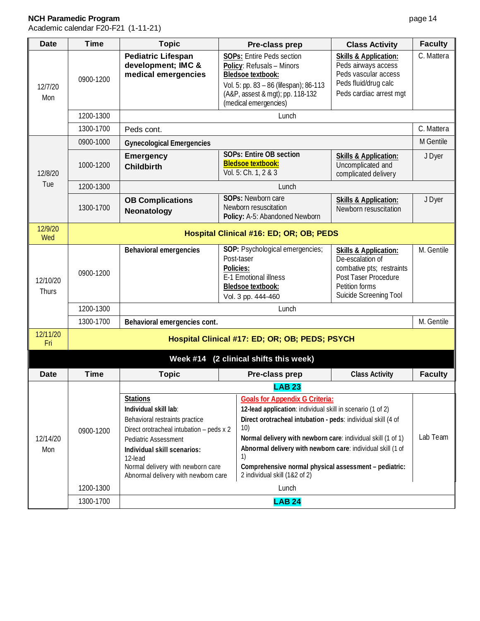| <b>Date</b>       | <b>Time</b> | <b>Topic</b>                                                                                                                                   | Pre-class prep                                                                                                                                                                                                                             | <b>Class Activity</b>                                                                                                                                 | <b>Faculty</b> |  |  |
|-------------------|-------------|------------------------------------------------------------------------------------------------------------------------------------------------|--------------------------------------------------------------------------------------------------------------------------------------------------------------------------------------------------------------------------------------------|-------------------------------------------------------------------------------------------------------------------------------------------------------|----------------|--|--|
| 12/7/20<br>Mon    | 0900-1200   | <b>Pediatric Lifespan</b><br>development; IMC &<br>medical emergencies                                                                         | <b>SOPs: Entire Peds section</b><br>Policy: Refusals - Minors<br><b>Bledsoe textbook:</b><br>Vol. 5: pp. 83 - 86 (lifespan); 86-113<br>(A&P, assest & mgt); pp. 118-132<br>(medical emergencies)                                           | <b>Skills &amp; Application:</b><br>Peds airways access<br>Peds vascular access<br>Peds fluid/drug calc<br>Peds cardiac arrest mgt                    | C. Mattera     |  |  |
|                   | 1200-1300   |                                                                                                                                                | Lunch                                                                                                                                                                                                                                      |                                                                                                                                                       |                |  |  |
|                   | 1300-1700   | Peds cont.                                                                                                                                     |                                                                                                                                                                                                                                            |                                                                                                                                                       | C. Mattera     |  |  |
|                   | 0900-1000   | <b>Gynecological Emergencies</b>                                                                                                               |                                                                                                                                                                                                                                            |                                                                                                                                                       | M Gentile      |  |  |
| 12/8/20           | 1000-1200   | <b>Emergency</b><br><b>Childbirth</b>                                                                                                          | <b>SOPs: Entire OB section</b><br><b>Bledsoe textbook:</b><br>Vol. 5: Ch. 1, 2 & 3                                                                                                                                                         | <b>Skills &amp; Application:</b><br>Uncomplicated and<br>complicated delivery                                                                         | J Dyer         |  |  |
| Tue               | 1200-1300   |                                                                                                                                                | Lunch                                                                                                                                                                                                                                      |                                                                                                                                                       |                |  |  |
|                   | 1300-1700   | <b>OB Complications</b><br>Neonatology                                                                                                         | SOPs: Newborn care<br>Newborn resuscitation<br>Policy: A-5: Abandoned Newborn                                                                                                                                                              | <b>Skills &amp; Application:</b><br>Newborn resuscitation                                                                                             | J Dyer         |  |  |
| 12/9/20<br>Wed    |             |                                                                                                                                                | Hospital Clinical #16: ED; OR; OB; PEDS                                                                                                                                                                                                    |                                                                                                                                                       |                |  |  |
| 12/10/20<br>Thurs | 0900-1200   | <b>Behavioral emergencies</b>                                                                                                                  | SOP: Psychological emergencies;<br>Post-taser<br>Policies:<br>E-1 Emotional illness<br>Bledsoe textbook:<br>Vol. 3 pp. 444-460                                                                                                             | <b>Skills &amp; Application:</b><br>De-escalation of<br>combative pts; restraints<br>Post Taser Procedure<br>Petition forms<br>Suicide Screening Tool | M. Gentile     |  |  |
|                   | 1200-1300   | Lunch                                                                                                                                          |                                                                                                                                                                                                                                            |                                                                                                                                                       |                |  |  |
|                   | 1300-1700   | Behavioral emergencies cont.                                                                                                                   |                                                                                                                                                                                                                                            |                                                                                                                                                       |                |  |  |
| 12/11/20<br>Fri   |             |                                                                                                                                                | Hospital Clinical #17: ED; OR; OB; PEDS; PSYCH                                                                                                                                                                                             |                                                                                                                                                       |                |  |  |
|                   |             | <b>Week #14</b>                                                                                                                                | (2 clinical shifts this week)                                                                                                                                                                                                              |                                                                                                                                                       |                |  |  |
| <b>Date</b>       | <b>Time</b> | <b>Topic</b>                                                                                                                                   | Pre-class prep                                                                                                                                                                                                                             | <b>Class Activity</b>                                                                                                                                 | <b>Faculty</b> |  |  |
|                   |             |                                                                                                                                                | <b>LAB 23</b>                                                                                                                                                                                                                              |                                                                                                                                                       |                |  |  |
| 12/14/20<br>Mon   | 0900-1200   | <b>Stations</b><br>Individual skill lab:<br>Behavioral restraints practice<br>Direct orotracheal intubation - peds x 2<br>Pediatric Assessment | <b>Goals for Appendix G Criteria:</b><br>12-lead application: individual skill in scenario (1 of 2)<br>Direct orotracheal intubation - peds: individual skill (4 of<br>10)<br>Normal delivery with newborn care: individual skill (1 of 1) |                                                                                                                                                       | Lab Team       |  |  |
|                   |             | Individual skill scenarios:<br>12-lead<br>Normal delivery with newborn care<br>Abnormal delivery with newborn care                             | Abnormal delivery with newborn care: individual skill (1 of<br>1)<br>Comprehensive normal physical assessment - pediatric:<br>2 individual skill (1&2 of 2)                                                                                |                                                                                                                                                       |                |  |  |
|                   | 1200-1300   |                                                                                                                                                | Lunch                                                                                                                                                                                                                                      |                                                                                                                                                       |                |  |  |
|                   | 1300-1700   |                                                                                                                                                | <b>LAB 24</b>                                                                                                                                                                                                                              |                                                                                                                                                       |                |  |  |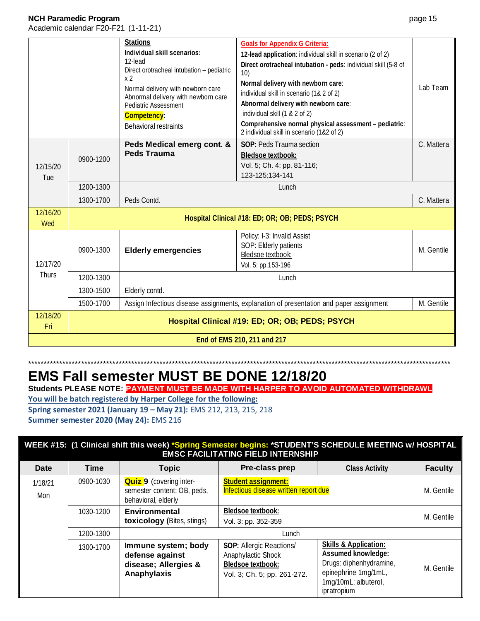Academic calendar F20-F21 (1-11-21)

|                             |           | <b>Stations</b><br>Individual skill scenarios:<br>12-lead<br>Direct orotracheal intubation - pediatric<br>x <sub>2</sub><br>Normal delivery with newborn care<br>Abnormal delivery with newborn care<br><b>Pediatric Assessment</b><br>Competency:<br>Behavioral restraints | <b>Goals for Appendix G Criteria:</b><br>12-lead application: individual skill in scenario (2 of 2)<br>Direct orotracheal intubation - peds: individual skill (5-8 of<br>10)<br>Normal delivery with newborn care:<br>individual skill in scenario (1& 2 of 2)<br>Abnormal delivery with newborn care:<br>individual skill (1 & 2 of 2)<br>Comprehensive normal physical assessment - pediatric:<br>2 individual skill in scenario (1&2 of 2) | Lab Team   |
|-----------------------------|-----------|-----------------------------------------------------------------------------------------------------------------------------------------------------------------------------------------------------------------------------------------------------------------------------|-----------------------------------------------------------------------------------------------------------------------------------------------------------------------------------------------------------------------------------------------------------------------------------------------------------------------------------------------------------------------------------------------------------------------------------------------|------------|
| 12/15/20<br>Tue             | 0900-1200 | Peds Medical emerg cont. &<br><b>Peds Trauma</b>                                                                                                                                                                                                                            | <b>SOP: Peds Trauma section</b><br><b>Bledsoe textbook:</b><br>Vol. 5; Ch. 4: pp. 81-116;<br>123-125;134-141                                                                                                                                                                                                                                                                                                                                  | C. Mattera |
|                             | 1200-1300 |                                                                                                                                                                                                                                                                             | Lunch                                                                                                                                                                                                                                                                                                                                                                                                                                         |            |
|                             | 1300-1700 | Peds Contd.                                                                                                                                                                                                                                                                 |                                                                                                                                                                                                                                                                                                                                                                                                                                               | C. Mattera |
| 12/16/20<br>Wed             |           |                                                                                                                                                                                                                                                                             | Hospital Clinical #18: ED; OR; OB; PEDS; PSYCH                                                                                                                                                                                                                                                                                                                                                                                                |            |
| 12/17/20                    | 0900-1300 | <b>Elderly emergencies</b>                                                                                                                                                                                                                                                  | Policy: I-3: Invalid Assist<br>SOP: Elderly patients<br>Bledsoe textbook:<br>Vol. 5: pp.153-196                                                                                                                                                                                                                                                                                                                                               | M. Gentile |
| <b>Thurs</b>                | 1200-1300 |                                                                                                                                                                                                                                                                             | Lunch                                                                                                                                                                                                                                                                                                                                                                                                                                         |            |
|                             | 1300-1500 | Elderly contd.                                                                                                                                                                                                                                                              |                                                                                                                                                                                                                                                                                                                                                                                                                                               |            |
|                             | 1500-1700 | Assign Infectious disease assignments, explanation of presentation and paper assignment<br>M. Gentile                                                                                                                                                                       |                                                                                                                                                                                                                                                                                                                                                                                                                                               |            |
| 12/18/20<br>Fri             |           |                                                                                                                                                                                                                                                                             | Hospital Clinical #19: ED; OR; OB; PEDS; PSYCH                                                                                                                                                                                                                                                                                                                                                                                                |            |
| End of EMS 210, 211 and 217 |           |                                                                                                                                                                                                                                                                             |                                                                                                                                                                                                                                                                                                                                                                                                                                               |            |

# \*\*\*\*\*\*\*\*\*\*\*\*\*\*\*\*\*\*\*\*\*\*\*\*\*\*\*\*\*\*\*\*\*\*\*\*\*\*\*\*\*\*\*\*\*\*\*\*\*\*\*\*\*\*\*\*\*\*\*\*\*\*\*\*\*\*\*\*\*\*\*\*\*\*\*\*\*\*\*\*\*\*\*\*\*\*\*\*\*\*\*\*\*\*\*\*\*\*\*\*\*\*\*\*\*\*\*\*\*\*\*\*\*\*\*\*\*\*\*\*\*\*\*\*\*\*\*\*\*\*\*\*\*\*\* **EMS Fall semester MUST BE DONE 12/18/20**

**Students PLEASE NOTE: PAYMENT MUST BE MADE WITH HARPER TO AVOID AUTOMATED WITHDRAWL**

**You will be batch registered by Harper College for the following: Spring semester 2021 (January 19 – May 21):** EMS 212, 213, 215, 218

**Summer semester 2020 (May 24):** EMS 216

| WEEK #15: (1 Clinical shift this week) *Spring Semester begins: *STUDENT'S SCHEDULE MEETING w/ HOSPITAL<br><b>EMSC FACILITATING FIELD INTERNSHIP</b> |             |                                                                                      |                                                                                                                  |                                                                                                                                                  |                |
|------------------------------------------------------------------------------------------------------------------------------------------------------|-------------|--------------------------------------------------------------------------------------|------------------------------------------------------------------------------------------------------------------|--------------------------------------------------------------------------------------------------------------------------------------------------|----------------|
| Date                                                                                                                                                 | <b>Time</b> | <b>Topic</b>                                                                         | Pre-class prep                                                                                                   | <b>Class Activity</b>                                                                                                                            | <b>Faculty</b> |
| 1/18/21<br>Mon                                                                                                                                       | 0900-1030   | <b>Quiz 9</b> (covering inter-<br>semester content: OB, peds,<br>behavioral, elderly | <b>Student assignment:</b><br>Infectious disease written report due                                              |                                                                                                                                                  | M. Gentile     |
|                                                                                                                                                      | 1030-1200   | <b>Environmental</b><br><b>toxicology</b> (Bites, stings)                            | <b>Bledsoe textbook:</b><br>Vol. 3: pp. 352-359                                                                  |                                                                                                                                                  | M. Gentile     |
|                                                                                                                                                      | 1200-1300   |                                                                                      | Lunch                                                                                                            |                                                                                                                                                  |                |
|                                                                                                                                                      | 1300-1700   | Immune system; body<br>defense against<br>disease; Allergies &<br>Anaphylaxis        | <b>SOP: Allergic Reactions/</b><br>Anaphylactic Shock<br><b>Bledsoe textbook:</b><br>Vol. 3; Ch. 5; pp. 261-272. | <b>Skills &amp; Application:</b><br>Assumed knowledge:<br>Drugs: diphenhydramine,<br>epinephrine 1mg/1mL,<br>1mg/10mL; albuterol,<br>ipratropium | M. Gentile     |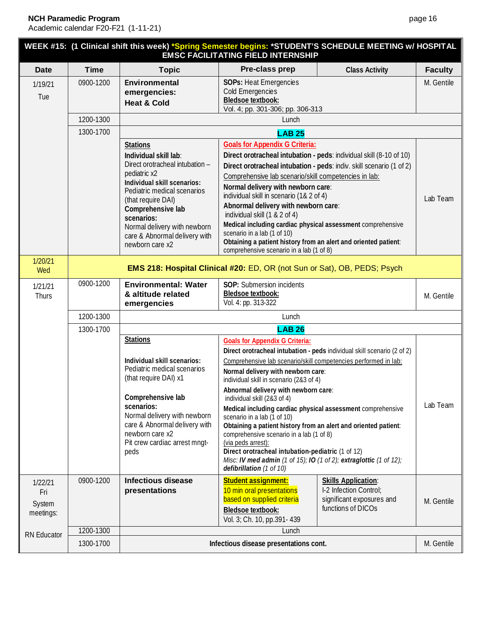|                                       |                                                                                                                                                                                                                                                                                                        |                                                                          | <b>EMSC FACILITATING FIELD INTERNSHIP</b>                                                                                                                                                                                                                                                                                                                                                                                                                                                                                                                                                                             | WEEK #15: (1 Clinical shift this week) *Spring Semester begins: *STUDENT'S SCHEDULE MEETING w/ HOSPITAL |                |  |  |
|---------------------------------------|--------------------------------------------------------------------------------------------------------------------------------------------------------------------------------------------------------------------------------------------------------------------------------------------------------|--------------------------------------------------------------------------|-----------------------------------------------------------------------------------------------------------------------------------------------------------------------------------------------------------------------------------------------------------------------------------------------------------------------------------------------------------------------------------------------------------------------------------------------------------------------------------------------------------------------------------------------------------------------------------------------------------------------|---------------------------------------------------------------------------------------------------------|----------------|--|--|
| <b>Date</b>                           | <b>Time</b>                                                                                                                                                                                                                                                                                            | <b>Topic</b>                                                             | Pre-class prep                                                                                                                                                                                                                                                                                                                                                                                                                                                                                                                                                                                                        | <b>Class Activity</b>                                                                                   | <b>Faculty</b> |  |  |
| 1/19/21<br>Tue                        | 0900-1200                                                                                                                                                                                                                                                                                              | Environmental<br>emergencies:<br><b>Heat &amp; Cold</b>                  | <b>SOPs: Heat Emergencies</b><br>Cold Emergencies<br>Bledsoe textbook:<br>Vol. 4; pp. 301-306; pp. 306-313                                                                                                                                                                                                                                                                                                                                                                                                                                                                                                            |                                                                                                         | M. Gentile     |  |  |
|                                       | 1200-1300                                                                                                                                                                                                                                                                                              |                                                                          | Lunch                                                                                                                                                                                                                                                                                                                                                                                                                                                                                                                                                                                                                 |                                                                                                         |                |  |  |
|                                       | 1300-1700                                                                                                                                                                                                                                                                                              |                                                                          | <b>LAB 25</b>                                                                                                                                                                                                                                                                                                                                                                                                                                                                                                                                                                                                         |                                                                                                         |                |  |  |
|                                       | <b>Stations</b><br>Individual skill lab:<br>Direct orotracheal intubation -<br>pediatric x2<br>Individual skill scenarios:<br>Pediatric medical scenarios<br>(that require DAI)<br>Comprehensive lab<br>scenarios:<br>Normal delivery with newborn<br>care & Abnormal delivery with<br>newborn care x2 |                                                                          | <b>Goals for Appendix G Criteria:</b><br>Direct orotracheal intubation - peds: individual skill (8-10 of 10)<br>Direct orotracheal intubation - peds: indiv. skill scenario (1 of 2)<br>Comprehensive lab scenario/skill competencies in lab:<br>Normal delivery with newborn care:<br>individual skill in scenario (1& 2 of 4)<br>Abnormal delivery with newborn care:<br>individual skill (1 & 2 of 4)<br>Medical including cardiac physical assessment comprehensive<br>scenario in a lab (1 of 10)<br>Obtaining a patient history from an alert and oriented patient:<br>comprehensive scenario in a lab (1 of 8) |                                                                                                         | Lab Team       |  |  |
| 1/20/21<br>Wed                        |                                                                                                                                                                                                                                                                                                        | EMS 218: Hospital Clinical #20: ED, OR (not Sun or Sat), OB, PEDS; Psych |                                                                                                                                                                                                                                                                                                                                                                                                                                                                                                                                                                                                                       |                                                                                                         |                |  |  |
| 1/21/21<br>Thurs                      | 0900-1200                                                                                                                                                                                                                                                                                              | <b>Environmental: Water</b><br>& altitude related<br>emergencies         | SOP: Submersion incidents<br>Bledsoe textbook:<br>Vol. 4: pp. 313-322                                                                                                                                                                                                                                                                                                                                                                                                                                                                                                                                                 |                                                                                                         | M. Gentile     |  |  |
|                                       | 1200-1300                                                                                                                                                                                                                                                                                              | Lunch                                                                    |                                                                                                                                                                                                                                                                                                                                                                                                                                                                                                                                                                                                                       |                                                                                                         |                |  |  |
|                                       | 1300-1700                                                                                                                                                                                                                                                                                              | <b>Stations</b>                                                          | <b>LAB 26</b><br><b>Goals for Appendix G Criteria:</b>                                                                                                                                                                                                                                                                                                                                                                                                                                                                                                                                                                |                                                                                                         |                |  |  |
|                                       | Individual skill scenarios:<br>Pediatric medical scenarios<br>(that require DAI) x1<br>Comprehensive lab<br>scenarios:<br>Normal delivery with newborn<br>care & Abnormal delivery with<br>newborn care x2                                                                                             |                                                                          | Direct orotracheal intubation - peds individual skill scenario (2 of 2)<br>Comprehensive lab scenario/skill competencies performed in lab:<br>Normal delivery with newborn care:<br>individual skill in scenario (2&3 of 4)<br>Abnormal delivery with newborn care:<br>individual skill (2&3 of 4)<br>Medical including cardiac physical assessment comprehensive<br>scenario in a lab (1 of 10)<br>Obtaining a patient history from an alert and oriented patient:<br>comprehensive scenario in a lab (1 of 8)                                                                                                       |                                                                                                         | Lab Team       |  |  |
|                                       |                                                                                                                                                                                                                                                                                                        | Pit crew cardiac arrest mngt-<br>peds                                    | (via peds arrest):<br>Direct orotracheal intubation-pediatric (1 of 12)<br>Misc: IV med admin (1 of 15); IO (1 of 2); extraglottic (1 of 12);<br>defibrillation (1 of 10)                                                                                                                                                                                                                                                                                                                                                                                                                                             |                                                                                                         |                |  |  |
| 1/22/21<br>Fri<br>System<br>meetings: | 0900-1200                                                                                                                                                                                                                                                                                              | <b>Infectious disease</b><br>presentations                               | <b>Student assignment:</b><br>10 min oral presentations<br>based on supplied criteria<br><b>Bledsoe textbook:</b><br>Vol. 3; Ch. 10, pp.391- 439                                                                                                                                                                                                                                                                                                                                                                                                                                                                      | <b>Skills Application:</b><br>I-2 Infection Control;<br>significant exposures and<br>functions of DICOs | M. Gentile     |  |  |
| RN Educator                           | 1200-1300                                                                                                                                                                                                                                                                                              |                                                                          | Lunch                                                                                                                                                                                                                                                                                                                                                                                                                                                                                                                                                                                                                 |                                                                                                         |                |  |  |
|                                       | 1300-1700                                                                                                                                                                                                                                                                                              | Infectious disease presentations cont.                                   |                                                                                                                                                                                                                                                                                                                                                                                                                                                                                                                                                                                                                       |                                                                                                         | M. Gentile     |  |  |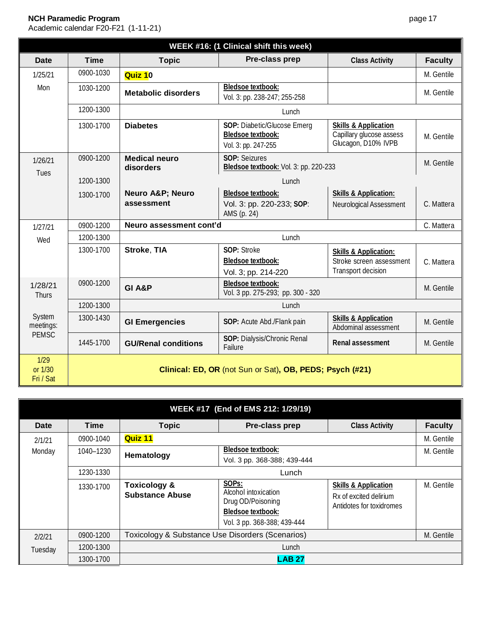# **NCH Paramedic Program**

| WEEK #16: (1 Clinical shift this week) |                                                          |                                          |                                                                                |                                                                                    |                |  |
|----------------------------------------|----------------------------------------------------------|------------------------------------------|--------------------------------------------------------------------------------|------------------------------------------------------------------------------------|----------------|--|
| <b>Date</b>                            | <b>Time</b>                                              | <b>Topic</b>                             | Pre-class prep                                                                 | <b>Class Activity</b>                                                              | <b>Faculty</b> |  |
| 1/25/21                                | 0900-1030                                                | Quiz 10                                  |                                                                                |                                                                                    | M. Gentile     |  |
| Mon                                    | 1030-1200                                                | <b>Metabolic disorders</b>               | <b>Bledsoe textbook:</b><br>Vol. 3: pp. 238-247; 255-258                       |                                                                                    | M. Gentile     |  |
|                                        | 1200-1300                                                | Lunch                                    |                                                                                |                                                                                    |                |  |
|                                        | 1300-1700                                                | <b>Diabetes</b>                          | SOP: Diabetic/Glucose Emerg<br><b>Bledsoe textbook:</b><br>Vol. 3: pp. 247-255 | <b>Skills &amp; Application</b><br>Capillary glucose assess<br>Glucagon, D10% IVPB | M. Gentile     |  |
| 1/26/21<br>Tues                        | 0900-1200                                                | <b>Medical neuro</b><br>disorders        | <b>SOP: Seizures</b><br>Bledsoe textbook: Vol. 3: pp. 220-233                  |                                                                                    | M. Gentile     |  |
|                                        | 1200-1300                                                | Lunch                                    |                                                                                |                                                                                    |                |  |
|                                        | 1300-1700                                                | <b>Neuro A&amp;P Neuro</b><br>assessment | <b>Bledsoe textbook:</b><br>Vol. 3: pp. 220-233; SOP:<br>AMS (p. 24)           | <b>Skills &amp; Application:</b><br>Neurological Assessment                        | C. Mattera     |  |
| 1/27/21                                | 0900-1200                                                | Neuro assessment cont'd                  |                                                                                |                                                                                    |                |  |
| Wed                                    | 1200-1300                                                | Lunch                                    |                                                                                |                                                                                    |                |  |
|                                        | 1300-1700                                                | Stroke, TIA                              | SOP: Stroke<br>Bledsoe textbook:<br>Vol. 3; pp. 214-220                        | <b>Skills &amp; Application:</b><br>Stroke screen assessment<br>Transport decision | C. Mattera     |  |
| 1/28/21<br><b>Thurs</b>                | 0900-1200                                                | <b>GI A&amp;P</b>                        | <b>Bledsoe textbook:</b><br>Vol. 3 pp. 275-293; pp. 300 - 320                  |                                                                                    | M. Gentile     |  |
|                                        | 1200-1300                                                |                                          | Lunch                                                                          |                                                                                    |                |  |
| System<br>meetings:                    | 1300-1430                                                | <b>GI Emergencies</b>                    | SOP: Acute Abd./Flank pain                                                     | <b>Skills &amp; Application</b><br>Abdominal assessment                            | M. Gentile     |  |
| <b>PEMSC</b>                           | 1445-1700                                                | <b>GU/Renal conditions</b>               | SOP: Dialysis/Chronic Renal<br>Failure                                         | Renal assessment                                                                   | M. Gentile     |  |
| 1/29<br>or 1/30<br>Fri / Sat           | Clinical: ED, OR (not Sun or Sat), OB, PEDS; Psych (#21) |                                          |                                                                                |                                                                                    |                |  |

| WEEK #17 (End of EMS 212: 1/29/19) |             |                                                   |                                                                                                                            |                                                                                       |                |  |  |
|------------------------------------|-------------|---------------------------------------------------|----------------------------------------------------------------------------------------------------------------------------|---------------------------------------------------------------------------------------|----------------|--|--|
| Date                               | <b>Time</b> | <b>Topic</b>                                      | Pre-class prep                                                                                                             | <b>Class Activity</b>                                                                 | <b>Faculty</b> |  |  |
| 2/1/21                             | 0900-1040   | <b>Quiz 11</b>                                    |                                                                                                                            |                                                                                       | M. Gentile     |  |  |
| Monday                             | 1040–1230   | Hematology                                        | <b>Bledsoe textbook:</b><br>Vol. 3 pp. 368-388; 439-444                                                                    |                                                                                       | M. Gentile     |  |  |
|                                    | 1230-1330   | Lunch                                             |                                                                                                                            |                                                                                       |                |  |  |
|                                    | 1330-1700   | <b>Toxicology &amp;</b><br><b>Substance Abuse</b> | SOP <sub>S</sub> :<br>Alcohol intoxication<br>Drug OD/Poisoning<br><b>Bledsoe textbook:</b><br>Vol. 3 pp. 368-388; 439-444 | <b>Skills &amp; Application</b><br>Rx of excited delirium<br>Antidotes for toxidromes | M. Gentile     |  |  |
| 2/2/21                             | 0900-1200   | Toxicology & Substance Use Disorders (Scenarios)  |                                                                                                                            |                                                                                       | M. Gentile     |  |  |
| Tuesday                            | 1200-1300   |                                                   | Lunch                                                                                                                      |                                                                                       |                |  |  |
|                                    | 1300-1700   | <b>LAB 27</b>                                     |                                                                                                                            |                                                                                       |                |  |  |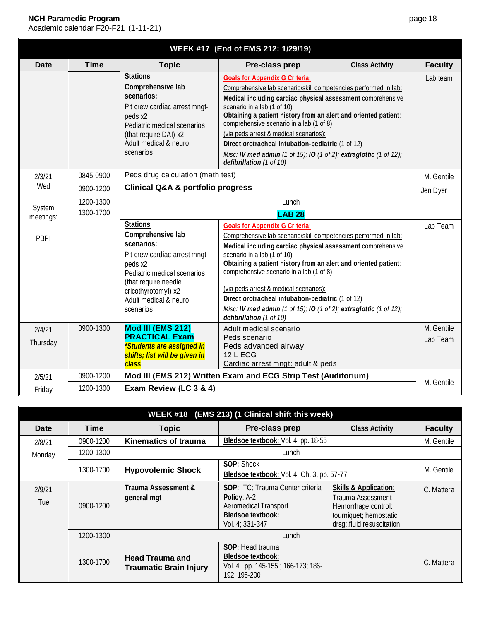| WEEK #17 (End of EMS 212: 1/29/19) |             |                                                                                                                                                                                                                    |                                                                                                                                                                                                                                                                                                                                                                                                                                                                                                                        |                       |                        |
|------------------------------------|-------------|--------------------------------------------------------------------------------------------------------------------------------------------------------------------------------------------------------------------|------------------------------------------------------------------------------------------------------------------------------------------------------------------------------------------------------------------------------------------------------------------------------------------------------------------------------------------------------------------------------------------------------------------------------------------------------------------------------------------------------------------------|-----------------------|------------------------|
| <b>Date</b>                        | <b>Time</b> | <b>Topic</b>                                                                                                                                                                                                       | Pre-class prep                                                                                                                                                                                                                                                                                                                                                                                                                                                                                                         | <b>Class Activity</b> | <b>Faculty</b>         |
|                                    |             | <b>Stations</b><br>Comprehensive lab<br>scenarios:<br>Pit crew cardiac arrest mngt-<br>peds x2<br>Pediatric medical scenarios<br>(that require DAI) x2<br>Adult medical & neuro<br>scenarios                       | <b>Goals for Appendix G Criteria:</b><br>Comprehensive lab scenario/skill competencies performed in lab:<br>Medical including cardiac physical assessment comprehensive<br>scenario in a lab (1 of 10)<br>Obtaining a patient history from an alert and oriented patient:<br>comprehensive scenario in a lab (1 of 8)<br>(via peds arrest & medical scenarios):<br>Direct orotracheal intubation-pediatric (1 of 12)<br>Misc: IV med admin (1 of 15); IO (1 of 2); extraglottic (1 of 12);<br>defibrillation (1 of 10) |                       | Lab team               |
| 2/3/21                             | 0845-0900   | Peds drug calculation (math test)                                                                                                                                                                                  |                                                                                                                                                                                                                                                                                                                                                                                                                                                                                                                        |                       |                        |
| Wed                                | 0900-1200   | <b>Clinical Q&amp;A &amp; portfolio progress</b>                                                                                                                                                                   |                                                                                                                                                                                                                                                                                                                                                                                                                                                                                                                        | Jen Dyer              |                        |
|                                    | 1200-1300   |                                                                                                                                                                                                                    | Lunch                                                                                                                                                                                                                                                                                                                                                                                                                                                                                                                  |                       |                        |
| System<br>meetings:                | 1300-1700   |                                                                                                                                                                                                                    |                                                                                                                                                                                                                                                                                                                                                                                                                                                                                                                        |                       |                        |
| PBPI                               |             | <b>Stations</b><br>Comprehensive lab<br>scenarios:<br>Pit crew cardiac arrest mngt-<br>peds x2<br>Pediatric medical scenarios<br>(that require needle<br>cricothyrotomyl) x2<br>Adult medical & neuro<br>scenarios | <b>Goals for Appendix G Criteria:</b><br>Comprehensive lab scenario/skill competencies performed in lab:<br>Medical including cardiac physical assessment comprehensive<br>scenario in a lab (1 of 10)<br>Obtaining a patient history from an alert and oriented patient:<br>comprehensive scenario in a lab (1 of 8)<br>(via peds arrest & medical scenarios):<br>Direct orotracheal intubation-pediatric (1 of 12)<br>Misc: IV med admin (1 of 15); IO (1 of 2); extraglottic (1 of 12);<br>defibrillation (1 of 10) |                       | Lab Team               |
| 2/4/21<br>Thursday                 | 0900-1300   | Mod III (EMS 212)<br><b>PRACTICAL Exam</b><br><i>*Students are assigned in</i><br>shifts; list will be given in<br>class                                                                                           | Adult medical scenario<br>Peds scenario<br>Peds advanced airway<br><b>12 L ECG</b><br>Cardiac arrest mngt: adult & peds                                                                                                                                                                                                                                                                                                                                                                                                |                       | M. Gentile<br>Lab Team |
| 2/5/21                             | 0900-1200   |                                                                                                                                                                                                                    | Mod III (EMS 212) Written Exam and ECG Strip Test (Auditorium)                                                                                                                                                                                                                                                                                                                                                                                                                                                         |                       |                        |
| Friday                             | 1200-1300   | Exam Review (LC 3 & 4)                                                                                                                                                                                             |                                                                                                                                                                                                                                                                                                                                                                                                                                                                                                                        |                       | M. Gentile             |

| WEEK #18 (EMS 213) (1 Clinical shift this week) |             |                                                         |                                                                                                                         |                                                                                                                                     |                |  |
|-------------------------------------------------|-------------|---------------------------------------------------------|-------------------------------------------------------------------------------------------------------------------------|-------------------------------------------------------------------------------------------------------------------------------------|----------------|--|
| Date                                            | <b>Time</b> | <b>Topic</b>                                            | Pre-class prep                                                                                                          | <b>Class Activity</b>                                                                                                               | <b>Faculty</b> |  |
| 2/8/21                                          | 0900-1200   | <b>Kinematics of trauma</b>                             | Bledsoe textbook: Vol. 4; pp. 18-55                                                                                     |                                                                                                                                     | M. Gentile     |  |
| Monday                                          | 1200-1300   |                                                         | Lunch                                                                                                                   |                                                                                                                                     |                |  |
|                                                 | 1300-1700   | <b>Hypovolemic Shock</b>                                | SOP: Shock<br>Bledsoe textbook: Vol. 4; Ch. 3, pp. 57-77                                                                | M. Gentile                                                                                                                          |                |  |
| 2/9/21<br>Tue                                   | 0900-1200   | Trauma Assessment &<br>general mgt                      | SOP: ITC; Trauma Center criteria<br>Policy: A-2<br>Aeromedical Transport<br><b>Bledsoe textbook:</b><br>Vol. 4; 331-347 | <b>Skills &amp; Application:</b><br>Trauma Assessment<br>Hemorrhage control:<br>tourniquet; hemostatic<br>drsg; fluid resuscitation | C. Mattera     |  |
|                                                 | 1200-1300   |                                                         | Lunch                                                                                                                   |                                                                                                                                     |                |  |
|                                                 | 1300-1700   | <b>Head Trauma and</b><br><b>Traumatic Brain Injury</b> | <b>SOP: Head trauma</b><br><b>Bledsoe textbook:</b><br>Vol. 4; pp. 145-155; 166-173; 186-<br>192; 196-200               |                                                                                                                                     | C. Mattera     |  |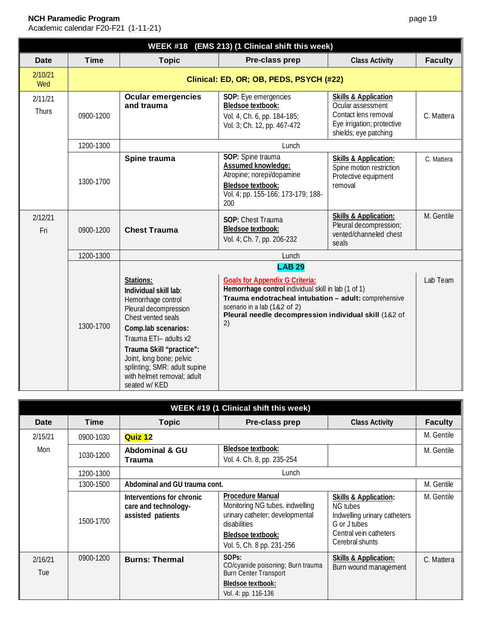|                  |             |                                                                                                                                                                                                                                                                                                | WEEK #18 (EMS 213) (1 Clinical shift this week)                                                                                                                                                                                                      |                                                                                                                                     |                |  |  |  |
|------------------|-------------|------------------------------------------------------------------------------------------------------------------------------------------------------------------------------------------------------------------------------------------------------------------------------------------------|------------------------------------------------------------------------------------------------------------------------------------------------------------------------------------------------------------------------------------------------------|-------------------------------------------------------------------------------------------------------------------------------------|----------------|--|--|--|
| <b>Date</b>      | <b>Time</b> | <b>Topic</b>                                                                                                                                                                                                                                                                                   | Pre-class prep                                                                                                                                                                                                                                       | <b>Class Activity</b>                                                                                                               | <b>Faculty</b> |  |  |  |
| 2/10/21<br>Wed   |             |                                                                                                                                                                                                                                                                                                | Clinical: ED, OR; OB, PEDS, PSYCH (#22)                                                                                                                                                                                                              |                                                                                                                                     |                |  |  |  |
| 2/11/21<br>Thurs | 0900-1200   | <b>Ocular emergencies</b><br>and trauma                                                                                                                                                                                                                                                        | SOP: Eye emergencies<br><b>Bledsoe textbook:</b><br>Vol. 4, Ch. 6, pp. 184-185;<br>Vol. 3; Ch. 12, pp. 467-472                                                                                                                                       | <b>Skills &amp; Application</b><br>Ocular assessment<br>Contact lens removal<br>Eye irrigation; protective<br>shields; eye patching | C. Mattera     |  |  |  |
|                  | 1200-1300   |                                                                                                                                                                                                                                                                                                | Lunch                                                                                                                                                                                                                                                |                                                                                                                                     |                |  |  |  |
|                  | 1300-1700   | Spine trauma                                                                                                                                                                                                                                                                                   | SOP: Spine trauma<br>Assumed knowledge:<br>Atropine; norepi/dopamine<br><b>Bledsoe textbook:</b><br>Vol. 4; pp. 155-166; 173-179; 188-<br>200                                                                                                        | <b>Skills &amp; Application:</b><br>Spine motion restriction<br>Protective equipment<br>removal                                     | C. Mattera     |  |  |  |
| 2/12/21<br>Fri   | 0900-1200   | <b>Chest Trauma</b>                                                                                                                                                                                                                                                                            | SOP: Chest Trauma<br><b>Bledsoe textbook:</b><br>Vol. 4; Ch. 7, pp. 206-232                                                                                                                                                                          | <b>Skills &amp; Application:</b><br>Pleural decompression;<br>vented/channeled chest<br>seals                                       | M. Gentile     |  |  |  |
|                  | 1200-1300   | Lunch                                                                                                                                                                                                                                                                                          |                                                                                                                                                                                                                                                      |                                                                                                                                     |                |  |  |  |
|                  |             | <b>LAB 29</b>                                                                                                                                                                                                                                                                                  |                                                                                                                                                                                                                                                      |                                                                                                                                     |                |  |  |  |
|                  | 1300-1700   | Stations:<br>Individual skill lab:<br>Hemorrhage control<br>Pleural decompression<br>Chest vented seals<br>Comp.lab scenarios:<br>Trauma ETI- adults x2<br>Trauma Skill "practice":<br>Joint, long bone; pelvic<br>splinting; SMR: adult supine<br>with helmet removal; adult<br>seated w/ KED | <b>Goals for Appendix G Criteria:</b><br>Hemorrhage control individual skill in lab (1 of 1)<br>Trauma endotracheal intubation - adult: comprehensive<br>scenario in a lab (1&2 of 2)<br>Pleural needle decompression individual skill (1&2 of<br>2) |                                                                                                                                     | Lab Team       |  |  |  |

| WEEK #19 (1 Clinical shift this week) |             |                                                                        |                                                                                                                                                                 |                                                                                                                                           |                |  |
|---------------------------------------|-------------|------------------------------------------------------------------------|-----------------------------------------------------------------------------------------------------------------------------------------------------------------|-------------------------------------------------------------------------------------------------------------------------------------------|----------------|--|
| <b>Date</b>                           | <b>Time</b> | <b>Topic</b>                                                           | Pre-class prep                                                                                                                                                  | <b>Class Activity</b>                                                                                                                     | <b>Faculty</b> |  |
| 2/15/21                               | 0900-1030   | Quiz 12                                                                |                                                                                                                                                                 |                                                                                                                                           | M. Gentile     |  |
| Mon                                   | 1030-1200   | <b>Abdominal &amp; GU</b><br>Trauma                                    | Bledsoe textbook:<br>Vol. 4. Ch. 8, pp. 235-254                                                                                                                 |                                                                                                                                           | M. Gentile     |  |
|                                       | 1200-1300   | Lunch                                                                  |                                                                                                                                                                 |                                                                                                                                           |                |  |
|                                       | 1300-1500   | Abdominal and GU trauma cont.                                          | M. Gentile                                                                                                                                                      |                                                                                                                                           |                |  |
|                                       | 1500-1700   | Interventions for chronic<br>care and technology-<br>assisted patients | <b>Procedure Manual</b><br>Monitoring NG tubes, indwelling<br>urinary catheter; developmental<br>disabilities<br>Bledsoe textbook:<br>Vol. 5, Ch. 8 pp. 231-256 | <b>Skills &amp; Application:</b><br>NG tubes<br>Indwelling urinary catheters<br>G or J tubes<br>Central vein catheters<br>Cerebral shunts | M. Gentile     |  |
| 2/16/21<br>Tue                        | 0900-1200   | <b>Burns: Thermal</b>                                                  | SOP <sub>S</sub> :<br>CO/cyanide poisoning; Burn trauma<br><b>Burn Center Transport</b><br>Bledsoe textbook:<br>Vol. 4: pp. 116-136                             | <b>Skills &amp; Application:</b><br>Burn wound management                                                                                 | C. Mattera     |  |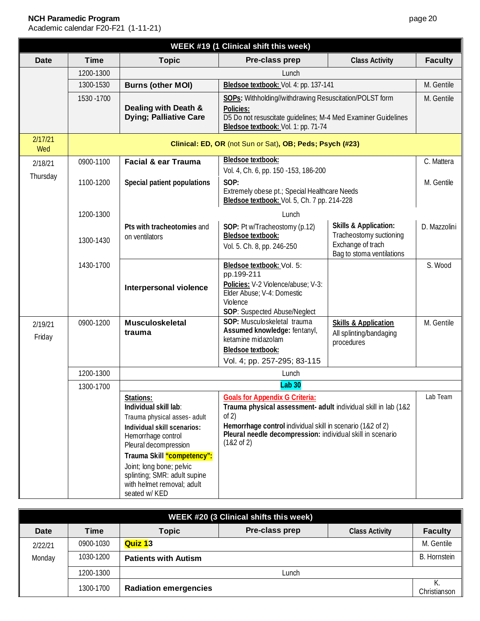| WEEK #19 (1 Clinical shift this week) |             |                                                                                                                                                                                                                                                                                           |                                                                                                                                                                                                                                                              |                                                                                                               |                |
|---------------------------------------|-------------|-------------------------------------------------------------------------------------------------------------------------------------------------------------------------------------------------------------------------------------------------------------------------------------------|--------------------------------------------------------------------------------------------------------------------------------------------------------------------------------------------------------------------------------------------------------------|---------------------------------------------------------------------------------------------------------------|----------------|
| <b>Date</b>                           | <b>Time</b> | <b>Topic</b>                                                                                                                                                                                                                                                                              | Pre-class prep                                                                                                                                                                                                                                               | <b>Class Activity</b>                                                                                         | <b>Faculty</b> |
|                                       | 1200-1300   |                                                                                                                                                                                                                                                                                           | Lunch                                                                                                                                                                                                                                                        |                                                                                                               |                |
|                                       | 1300-1530   | <b>Burns (other MOI)</b>                                                                                                                                                                                                                                                                  | Bledsoe textbook: Vol. 4: pp. 137-141                                                                                                                                                                                                                        |                                                                                                               | M. Gentile     |
|                                       | 1530 - 1700 | Dealing with Death &<br><b>Dying; Palliative Care</b>                                                                                                                                                                                                                                     | SOPs: Withholding//withdrawing Resuscitation/POLST form<br>Policies:<br>D5 Do not resuscitate guidelines; M-4 Med Examiner Guidelines<br>Bledsoe textbook: Vol. 1: pp. 71-74                                                                                 |                                                                                                               | M. Gentile     |
| 2/17/21<br>Wed                        |             |                                                                                                                                                                                                                                                                                           | Clinical: ED, OR (not Sun or Sat), OB; Peds; Psych (#23)                                                                                                                                                                                                     |                                                                                                               |                |
| 2/18/21                               | 0900-1100   | <b>Facial &amp; ear Trauma</b>                                                                                                                                                                                                                                                            | Bledsoe textbook:<br>Vol. 4, Ch. 6, pp. 150 - 153, 186-200                                                                                                                                                                                                   |                                                                                                               |                |
| Thursday                              | 1100-1200   | Special patient populations                                                                                                                                                                                                                                                               | SOP:<br>Extremely obese pt.; Special Healthcare Needs<br>Bledsoe textbook: Vol. 5, Ch. 7 pp. 214-228                                                                                                                                                         |                                                                                                               | M. Gentile     |
|                                       | 1200-1300   |                                                                                                                                                                                                                                                                                           | Lunch                                                                                                                                                                                                                                                        |                                                                                                               |                |
|                                       | 1300-1430   | Pts with tracheotomies and<br>on ventilators                                                                                                                                                                                                                                              | SOP: Pt w/Tracheostomy (p.12)<br><b>Bledsoe textbook:</b><br>Vol. 5. Ch. 8, pp. 246-250                                                                                                                                                                      | <b>Skills &amp; Application:</b><br>Tracheostomy suctioning<br>Exchange of trach<br>Bag to stoma ventilations | D. Mazzolini   |
|                                       | 1430-1700   | Interpersonal violence                                                                                                                                                                                                                                                                    | Bledsoe textbook: Vol. 5:<br>pp.199-211<br>Policies: V-2 Violence/abuse; V-3:<br>Elder Abuse; V-4: Domestic<br>Violence<br>SOP: Suspected Abuse/Neglect                                                                                                      |                                                                                                               | S. Wood        |
| 2/19/21<br>Friday                     | 0900-1200   | <b>Musculoskeletal</b><br>trauma                                                                                                                                                                                                                                                          | SOP: Musculoskeletal trauma<br>Assumed knowledge: fentanyl,<br>ketamine midazolam<br><b>Bledsoe textbook:</b><br>Vol. 4; pp. 257-295; 83-115                                                                                                                 | <b>Skills &amp; Application</b><br>All splinting/bandaging<br>procedures                                      | M. Gentile     |
|                                       | 1200-1300   |                                                                                                                                                                                                                                                                                           | Lunch                                                                                                                                                                                                                                                        |                                                                                                               |                |
|                                       | 1300-1700   |                                                                                                                                                                                                                                                                                           | <b>Lab 30</b>                                                                                                                                                                                                                                                |                                                                                                               |                |
|                                       |             | Stations:<br>Individual skill lab:<br>Trauma physical asses- adult<br>Individual skill scenarios:<br>Hemorrhage control<br>Pleural decompression<br>Trauma Skill "competency":<br>Joint; long bone; pelvic<br>splinting; SMR: adult supine<br>with helmet removal; adult<br>seated w/ KED | <b>Goals for Appendix G Criteria:</b><br>Trauma physical assessment- adult individual skill in lab (1&2<br>of $2)$<br>Hemorrhage control individual skill in scenario (1&2 of 2)<br>Pleural needle decompression: individual skill in scenario<br>(182 of 2) |                                                                                                               | Lab Team       |

| WEEK #20 (3 Clinical shifts this week) |           |                              |                |                       |                     |  |  |
|----------------------------------------|-----------|------------------------------|----------------|-----------------------|---------------------|--|--|
| <b>Date</b>                            | Time      | <b>Topic</b>                 | Pre-class prep | <b>Class Activity</b> | <b>Faculty</b>      |  |  |
| 2/22/21                                | 0900-1030 | <b>Quiz 13</b>               |                |                       | M. Gentile          |  |  |
| Monday                                 | 1030-1200 | <b>Patients with Autism</b>  |                |                       | <b>B.</b> Hornstein |  |  |
|                                        | 1200-1300 |                              | Lunch          |                       |                     |  |  |
|                                        | 1300-1700 | <b>Radiation emergencies</b> |                |                       | К.<br>Christianson  |  |  |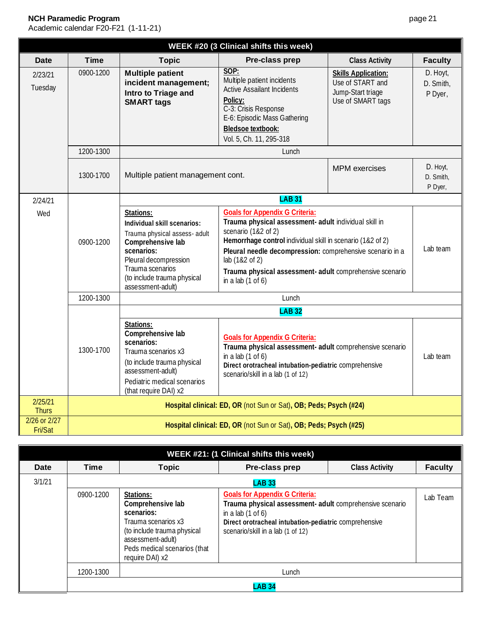| <b>WEEK #20 (3 Clinical shifts this week)</b> |                                                                                                                                                                                              |                                                                                                                                                                                                               |                                                                                                                                                                                                                                                                                                                                                       |                                                                                          |                                  |  |
|-----------------------------------------------|----------------------------------------------------------------------------------------------------------------------------------------------------------------------------------------------|---------------------------------------------------------------------------------------------------------------------------------------------------------------------------------------------------------------|-------------------------------------------------------------------------------------------------------------------------------------------------------------------------------------------------------------------------------------------------------------------------------------------------------------------------------------------------------|------------------------------------------------------------------------------------------|----------------------------------|--|
| <b>Date</b>                                   | <b>Time</b>                                                                                                                                                                                  | <b>Topic</b>                                                                                                                                                                                                  | Pre-class prep                                                                                                                                                                                                                                                                                                                                        | <b>Class Activity</b>                                                                    | <b>Faculty</b>                   |  |
| 2/23/21<br>Tuesday                            | 0900-1200                                                                                                                                                                                    | <b>Multiple patient</b><br>incident management;<br>Intro to Triage and<br><b>SMART tags</b>                                                                                                                   | SOP:<br>Multiple patient incidents<br><b>Active Assailant Incidents</b><br>Policy:<br>C-3: Crisis Response<br>E-6: Episodic Mass Gathering<br><b>Bledsoe textbook:</b><br>Vol. 5, Ch. 11, 295-318                                                                                                                                                     | <b>Skills Application:</b><br>Use of START and<br>Jump-Start triage<br>Use of SMART tags | D. Hoyt,<br>D. Smith,<br>P Dyer, |  |
|                                               | 1200-1300                                                                                                                                                                                    |                                                                                                                                                                                                               | Lunch                                                                                                                                                                                                                                                                                                                                                 |                                                                                          |                                  |  |
|                                               | 1300-1700                                                                                                                                                                                    | Multiple patient management cont.                                                                                                                                                                             |                                                                                                                                                                                                                                                                                                                                                       | <b>MPM</b> exercises                                                                     | D. Hoyt,<br>D. Smith,<br>P Dyer, |  |
| 2/24/21                                       |                                                                                                                                                                                              | <b>LAB 31</b>                                                                                                                                                                                                 |                                                                                                                                                                                                                                                                                                                                                       |                                                                                          |                                  |  |
| Wed                                           | 0900-1200                                                                                                                                                                                    | Stations:<br>Individual skill scenarios:<br>Trauma physical assess- adult<br>Comprehensive lab<br>scenarios:<br>Pleural decompression<br>Trauma scenarios<br>(to include trauma physical<br>assessment-adult) | <b>Goals for Appendix G Criteria:</b><br>Trauma physical assessment- adult individual skill in<br>scenario (1&2 of 2)<br>Hemorrhage control individual skill in scenario (1&2 of 2)<br>Pleural needle decompression: comprehensive scenario in a<br>lab (1&2 of 2)<br>Trauma physical assessment- adult comprehensive scenario<br>in a lab $(1$ of 6) |                                                                                          | Lab team                         |  |
|                                               | 1200-1300                                                                                                                                                                                    |                                                                                                                                                                                                               | Lunch                                                                                                                                                                                                                                                                                                                                                 |                                                                                          |                                  |  |
|                                               |                                                                                                                                                                                              |                                                                                                                                                                                                               | <b>LAB 32</b>                                                                                                                                                                                                                                                                                                                                         |                                                                                          |                                  |  |
|                                               | Stations:<br>Comprehensive lab<br>scenarios:<br>1300-1700<br>Trauma scenarios x3<br>(to include trauma physical<br>assessment-adult)<br>Pediatric medical scenarios<br>(that require DAI) x2 |                                                                                                                                                                                                               | <b>Goals for Appendix G Criteria:</b><br>Trauma physical assessment- adult comprehensive scenario<br>in a lab $(1$ of 6)<br>Direct orotracheal intubation-pediatric comprehensive<br>scenario/skill in a lab (1 of 12)                                                                                                                                |                                                                                          | Lab team                         |  |
| 2/25/21<br><b>Thurs</b>                       |                                                                                                                                                                                              |                                                                                                                                                                                                               | Hospital clinical: ED, OR (not Sun or Sat), OB; Peds; Psych (#24)                                                                                                                                                                                                                                                                                     |                                                                                          |                                  |  |
| 2/26 or 2/27<br>Fri/Sat                       |                                                                                                                                                                                              |                                                                                                                                                                                                               | Hospital clinical: ED, OR (not Sun or Sat), OB; Peds; Psych (#25)                                                                                                                                                                                                                                                                                     |                                                                                          |                                  |  |

| WEEK #21: (1 Clinical shifts this week) |               |                                                                                                                                                                            |                                                                                                                                                                                                                        |                       |                |  |  |
|-----------------------------------------|---------------|----------------------------------------------------------------------------------------------------------------------------------------------------------------------------|------------------------------------------------------------------------------------------------------------------------------------------------------------------------------------------------------------------------|-----------------------|----------------|--|--|
| Date                                    | <b>Time</b>   | <b>Topic</b>                                                                                                                                                               | Pre-class prep                                                                                                                                                                                                         | <b>Class Activity</b> | <b>Faculty</b> |  |  |
| 3/1/21                                  |               |                                                                                                                                                                            | <b>LAB 33</b>                                                                                                                                                                                                          |                       |                |  |  |
|                                         | 0900-1200     | Stations:<br>Comprehensive lab<br>scenarios:<br>Trauma scenarios x3<br>(to include trauma physical<br>assessment-adult)<br>Peds medical scenarios (that<br>require DAI) x2 | <b>Goals for Appendix G Criteria:</b><br>Trauma physical assessment- adult comprehensive scenario<br>in a lab $(1$ of 6)<br>Direct orotracheal intubation-pediatric comprehensive<br>scenario/skill in a lab (1 of 12) |                       | Lab Team       |  |  |
|                                         | 1200-1300     |                                                                                                                                                                            | Lunch                                                                                                                                                                                                                  |                       |                |  |  |
|                                         | <b>LAB 34</b> |                                                                                                                                                                            |                                                                                                                                                                                                                        |                       |                |  |  |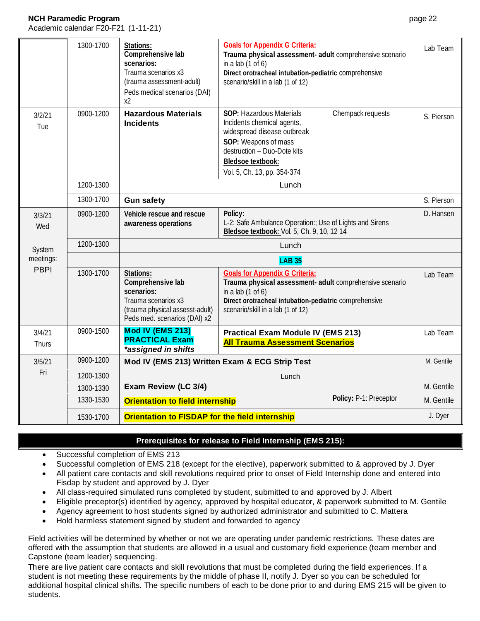Academic calendar F20-F21 (1-11-21)

|                 | 1300-1700 | Stations:<br>Comprehensive lab<br>scenarios:<br>Trauma scenarios x3<br>(trauma assessment-adult)<br>Peds medical scenarios (DAI)<br>x2 | <b>Goals for Appendix G Criteria:</b><br>Trauma physical assessment- adult comprehensive scenario<br>in a lab $(1$ of 6)<br>Direct orotracheal intubation-pediatric comprehensive<br>scenario/skill in a lab (1 of 12) |                        | Lab Team   |
|-----------------|-----------|----------------------------------------------------------------------------------------------------------------------------------------|------------------------------------------------------------------------------------------------------------------------------------------------------------------------------------------------------------------------|------------------------|------------|
| 3/2/21<br>Tue   | 0900-1200 | <b>Hazardous Materials</b><br><b>Incidents</b>                                                                                         | SOP: Hazardous Materials<br>Incidents chemical agents,<br>widespread disease outbreak<br>SOP: Weapons of mass<br>destruction - Duo-Dote kits<br>Bledsoe textbook:<br>Vol. 5, Ch. 13, pp. 354-374                       | Chempack requests      | S. Pierson |
|                 | 1200-1300 | Lunch                                                                                                                                  |                                                                                                                                                                                                                        |                        |            |
| 1300-1700       |           | <b>Gun safety</b>                                                                                                                      |                                                                                                                                                                                                                        |                        | S. Pierson |
| 3/3/21<br>Wed   | 0900-1200 | Vehicle rescue and rescue<br>awareness operations                                                                                      | Policy:<br>L-2: Safe Ambulance Operation:; Use of Lights and Sirens<br>Bledsoe textbook: Vol. 5, Ch. 9, 10, 12 14                                                                                                      |                        | D. Hansen  |
| System          | 1200-1300 | Lunch                                                                                                                                  |                                                                                                                                                                                                                        |                        |            |
| meetings:       |           | <b>LAB 35</b>                                                                                                                          |                                                                                                                                                                                                                        |                        |            |
| <b>PBPI</b>     | 1300-1700 | Stations:<br>Comprehensive lab<br>scenarios:<br>Trauma scenarios x3<br>(trauma physical assesst-adult)<br>Peds med. scenarios (DAI) x2 | <b>Goals for Appendix G Criteria:</b><br>Trauma physical assessment- adult comprehensive scenario<br>in a lab $(1$ of 6)<br>Direct orotracheal intubation-pediatric comprehensive<br>scenario/skill in a lab (1 of 12) |                        | Lab Team   |
| 3/4/21<br>Thurs | 0900-1500 | Mod IV (EMS 213)<br><b>PRACTICAL Exam</b><br>*assigned in shifts                                                                       | <b>Practical Exam Module IV (EMS 213)</b><br><b>All Trauma Assessment Scenarios</b>                                                                                                                                    |                        | Lab Team   |
| 3/5/21          | 0900-1200 |                                                                                                                                        | Mod IV (EMS 213) Written Exam & ECG Strip Test                                                                                                                                                                         |                        | M. Gentile |
| Fri             | 1200-1300 |                                                                                                                                        | Lunch                                                                                                                                                                                                                  |                        |            |
|                 | 1300-1330 | Exam Review (LC 3/4)                                                                                                                   |                                                                                                                                                                                                                        |                        | M. Gentile |
|                 | 1330-1530 | <b>Orientation to field internship</b>                                                                                                 |                                                                                                                                                                                                                        | Policy: P-1: Preceptor | M. Gentile |
|                 | 1530-1700 | Orientation to FISDAP for the field internship                                                                                         |                                                                                                                                                                                                                        |                        | J. Dyer    |

#### **Prerequisites for release to Field Internship (EMS 215):**

- Successful completion of EMS 213
- Successful completion of EMS 218 (except for the elective), paperwork submitted to & approved by J. Dyer
- All patient care contacts and skill revolutions required prior to onset of Field Internship done and entered into Fisdap by student and approved by J. Dyer
- All class-required simulated runs completed by student, submitted to and approved by J. Albert
- Eligible preceptor(s) identified by agency, approved by hospital educator, & paperwork submitted to M. Gentile
- Agency agreement to host students signed by authorized administrator and submitted to C. Mattera
- Hold harmless statement signed by student and forwarded to agency

Field activities will be determined by whether or not we are operating under pandemic restrictions. These dates are offered with the assumption that students are allowed in a usual and customary field experience (team member and Capstone (team leader) sequencing.

There are live patient care contacts and skill revolutions that must be completed during the field experiences. If a student is not meeting these requirements by the middle of phase II, notify J. Dyer so you can be scheduled for additional hospital clinical shifts. The specific numbers of each to be done prior to and during EMS 215 will be given to students.